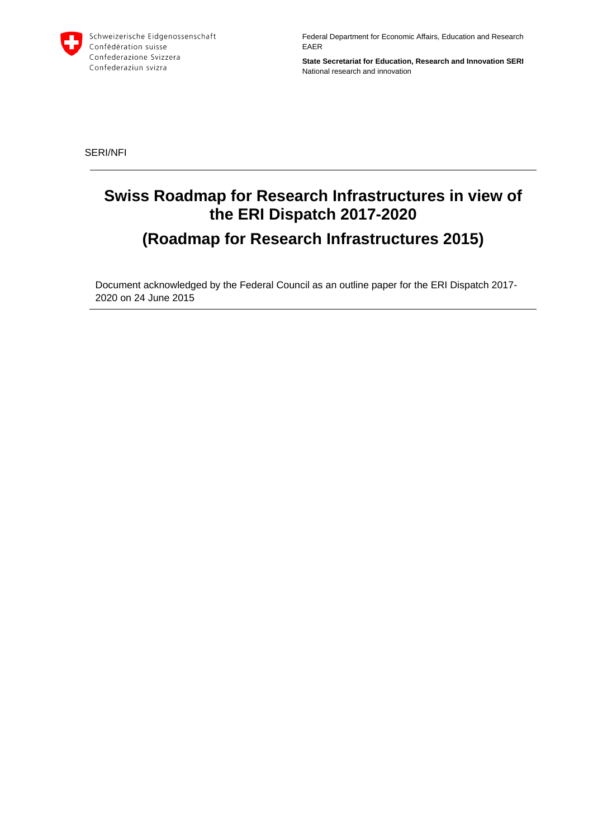

Federal Department for Economic Affairs, Education and Research EAER

**State Secretariat for Education, Research and Innovation SERI**  National research and innovation

SERI/NFI

# **Swiss Roadmap for Research Infrastructures in view of the ERI Dispatch 2017-2020 (Roadmap for Research Infrastructures 2015)**

Document acknowledged by the Federal Council as an outline paper for the ERI Dispatch 2017- 2020 on 24 June 2015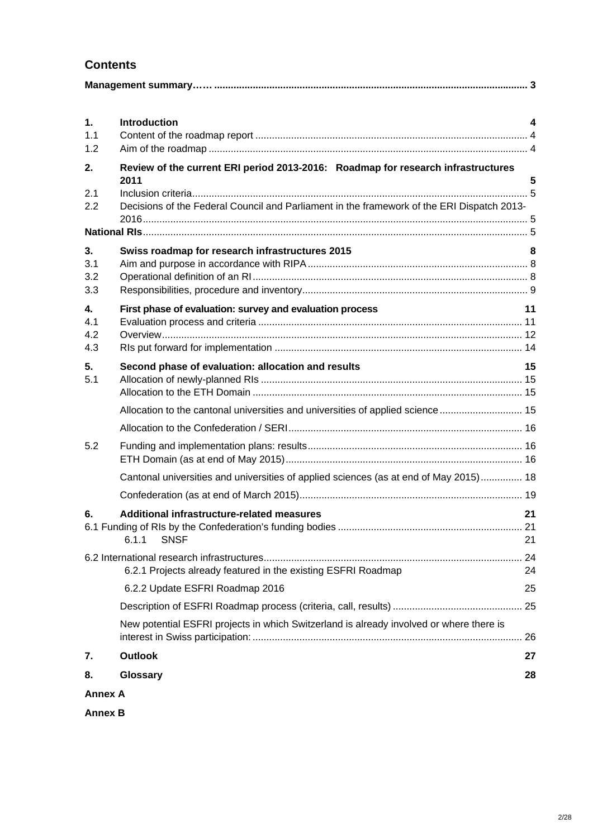## **Contents**

| 1.<br>1.1                         | <b>Introduction</b>                                                                        | 4        |  |
|-----------------------------------|--------------------------------------------------------------------------------------------|----------|--|
| 1.2                               |                                                                                            |          |  |
| 2.                                | Review of the current ERI period 2013-2016: Roadmap for research infrastructures<br>2011   | 5        |  |
| 2.1<br>2.2                        | Decisions of the Federal Council and Parliament in the framework of the ERI Dispatch 2013- |          |  |
|                                   |                                                                                            |          |  |
| 3.<br>3.1<br>3.2<br>3.3           | Swiss roadmap for research infrastructures 2015                                            | 8        |  |
| $\mathbf{4}$<br>4.1<br>4.2<br>4.3 | First phase of evaluation: survey and evaluation process                                   | 11       |  |
| 5.<br>5.1                         | Second phase of evaluation: allocation and results                                         | 15       |  |
|                                   | Allocation to the cantonal universities and universities of applied science  15            |          |  |
|                                   |                                                                                            |          |  |
| 5.2                               |                                                                                            |          |  |
|                                   | Cantonal universities and universities of applied sciences (as at end of May 2015) 18      |          |  |
|                                   |                                                                                            |          |  |
| 6.                                | Additional infrastructure-related measures<br><b>SNSF</b><br>6.1.1                         | 21<br>21 |  |
|                                   | 6.2.1 Projects already featured in the existing ESFRI Roadmap                              | 24       |  |
|                                   | 6.2.2 Update ESFRI Roadmap 2016                                                            | 25       |  |
|                                   |                                                                                            |          |  |
|                                   | New potential ESFRI projects in which Switzerland is already involved or where there is    | 26       |  |
| 7.                                | <b>Outlook</b>                                                                             | 27       |  |
| 8.                                | Glossary                                                                                   | 28       |  |
| <b>Annex A</b>                    |                                                                                            |          |  |

**Annex B**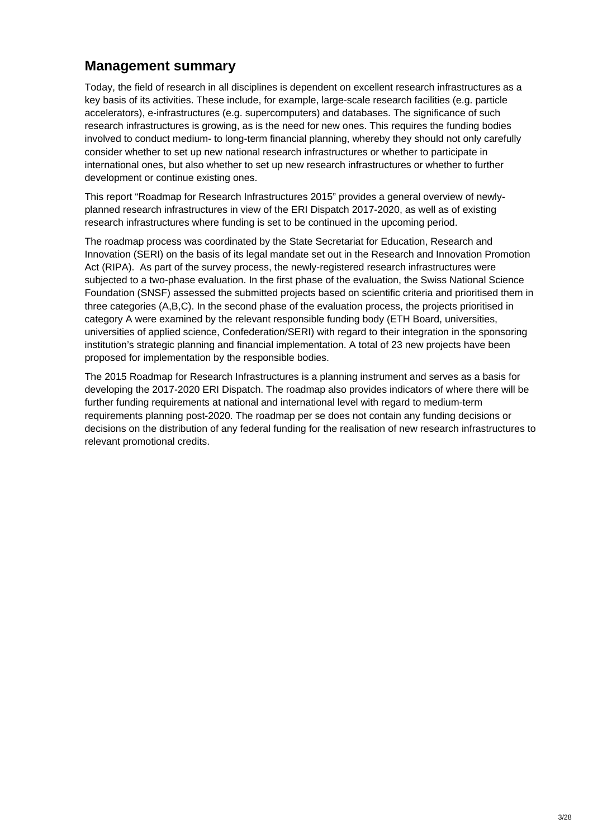## **Management summary**

Today, the field of research in all disciplines is dependent on excellent research infrastructures as a key basis of its activities. These include, for example, large-scale research facilities (e.g. particle accelerators), e-infrastructures (e.g. supercomputers) and databases. The significance of such research infrastructures is growing, as is the need for new ones. This requires the funding bodies involved to conduct medium- to long-term financial planning, whereby they should not only carefully consider whether to set up new national research infrastructures or whether to participate in international ones, but also whether to set up new research infrastructures or whether to further development or continue existing ones.

This report "Roadmap for Research Infrastructures 2015" provides a general overview of newlyplanned research infrastructures in view of the ERI Dispatch 2017-2020, as well as of existing research infrastructures where funding is set to be continued in the upcoming period.

The roadmap process was coordinated by the State Secretariat for Education, Research and Innovation (SERI) on the basis of its legal mandate set out in the Research and Innovation Promotion Act (RIPA). As part of the survey process, the newly-registered research infrastructures were subjected to a two-phase evaluation. In the first phase of the evaluation, the Swiss National Science Foundation (SNSF) assessed the submitted projects based on scientific criteria and prioritised them in three categories (A,B,C). In the second phase of the evaluation process, the projects prioritised in category A were examined by the relevant responsible funding body (ETH Board, universities, universities of applied science, Confederation/SERI) with regard to their integration in the sponsoring institution's strategic planning and financial implementation. A total of 23 new projects have been proposed for implementation by the responsible bodies.

The 2015 Roadmap for Research Infrastructures is a planning instrument and serves as a basis for developing the 2017-2020 ERI Dispatch. The roadmap also provides indicators of where there will be further funding requirements at national and international level with regard to medium-term requirements planning post-2020. The roadmap per se does not contain any funding decisions or decisions on the distribution of any federal funding for the realisation of new research infrastructures to relevant promotional credits.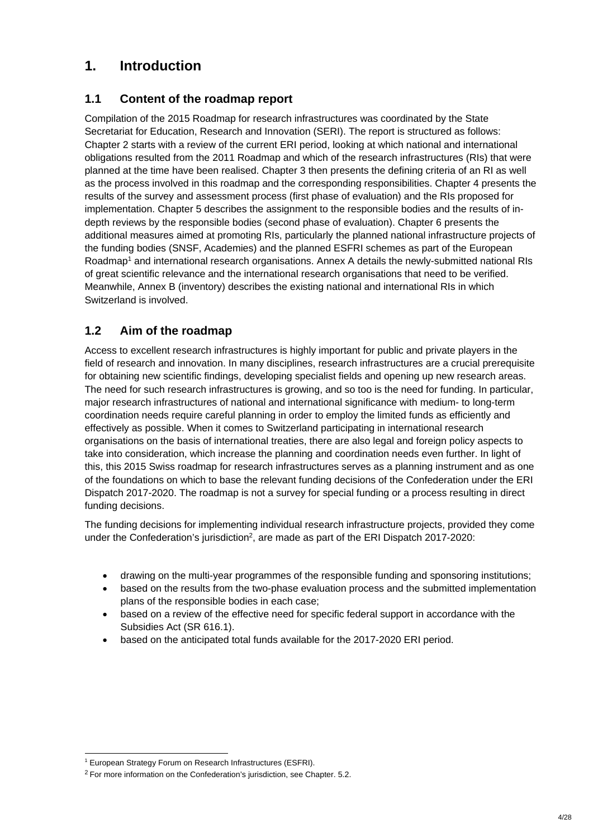## **1. Introduction**

## **1.1 Content of the roadmap report**

Compilation of the 2015 Roadmap for research infrastructures was coordinated by the State Secretariat for Education, Research and Innovation (SERI). The report is structured as follows: Chapter 2 starts with a review of the current ERI period, looking at which national and international obligations resulted from the 2011 Roadmap and which of the research infrastructures (RIs) that were planned at the time have been realised. Chapter 3 then presents the defining criteria of an RI as well as the process involved in this roadmap and the corresponding responsibilities. Chapter 4 presents the results of the survey and assessment process (first phase of evaluation) and the RIs proposed for implementation. Chapter 5 describes the assignment to the responsible bodies and the results of indepth reviews by the responsible bodies (second phase of evaluation). Chapter 6 presents the additional measures aimed at promoting RIs, particularly the planned national infrastructure projects of the funding bodies (SNSF, Academies) and the planned ESFRI schemes as part of the European Roadmap<sup>1</sup> and international research organisations. Annex A details the newly-submitted national RIs of great scientific relevance and the international research organisations that need to be verified. Meanwhile, Annex B (inventory) describes the existing national and international RIs in which Switzerland is involved.

## **1.2 Aim of the roadmap**

Access to excellent research infrastructures is highly important for public and private players in the field of research and innovation. In many disciplines, research infrastructures are a crucial prerequisite for obtaining new scientific findings, developing specialist fields and opening up new research areas. The need for such research infrastructures is growing, and so too is the need for funding. In particular, major research infrastructures of national and international significance with medium- to long-term coordination needs require careful planning in order to employ the limited funds as efficiently and effectively as possible. When it comes to Switzerland participating in international research organisations on the basis of international treaties, there are also legal and foreign policy aspects to take into consideration, which increase the planning and coordination needs even further. In light of this, this 2015 Swiss roadmap for research infrastructures serves as a planning instrument and as one of the foundations on which to base the relevant funding decisions of the Confederation under the ERI Dispatch 2017-2020. The roadmap is not a survey for special funding or a process resulting in direct funding decisions.

The funding decisions for implementing individual research infrastructure projects, provided they come under the Confederation's jurisdiction<sup>2</sup>, are made as part of the ERI Dispatch 2017-2020:

- drawing on the multi-year programmes of the responsible funding and sponsoring institutions;
- based on the results from the two-phase evaluation process and the submitted implementation plans of the responsible bodies in each case;
- based on a review of the effective need for specific federal support in accordance with the Subsidies Act (SR 616.1).
- based on the anticipated total funds available for the 2017-2020 ERI period.

-

<sup>&</sup>lt;sup>1</sup> European Strategy Forum on Research Infrastructures (ESFRI).

<sup>&</sup>lt;sup>2</sup> For more information on the Confederation's jurisdiction, see Chapter. 5.2.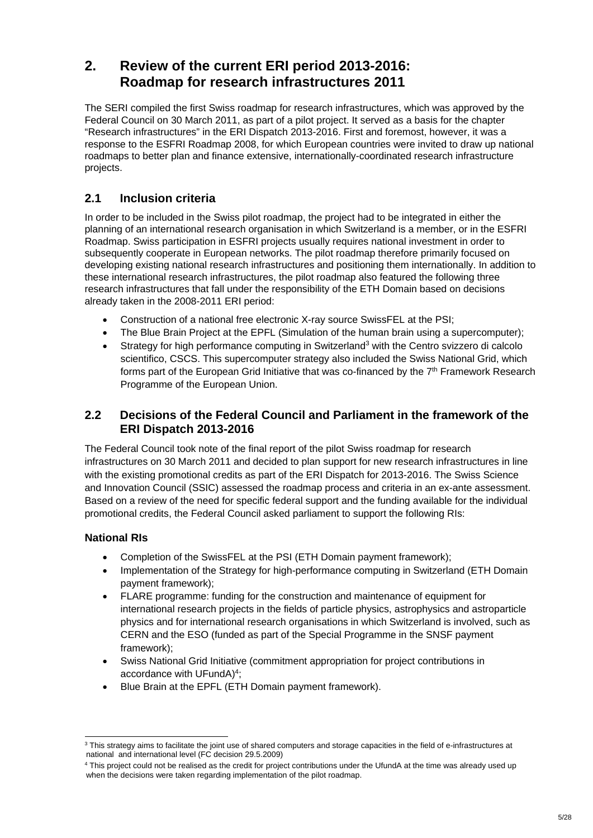## **2. Review of the current ERI period 2013-2016: Roadmap for research infrastructures 2011**

The SERI compiled the first Swiss roadmap for research infrastructures, which was approved by the Federal Council on 30 March 2011, as part of a pilot project. It served as a basis for the chapter "Research infrastructures" in the ERI Dispatch 2013-2016. First and foremost, however, it was a response to the ESFRI Roadmap 2008, for which European countries were invited to draw up national roadmaps to better plan and finance extensive, internationally-coordinated research infrastructure projects.

## **2.1 Inclusion criteria**

In order to be included in the Swiss pilot roadmap, the project had to be integrated in either the planning of an international research organisation in which Switzerland is a member, or in the ESFRI Roadmap. Swiss participation in ESFRI projects usually requires national investment in order to subsequently cooperate in European networks. The pilot roadmap therefore primarily focused on developing existing national research infrastructures and positioning them internationally. In addition to these international research infrastructures, the pilot roadmap also featured the following three research infrastructures that fall under the responsibility of the ETH Domain based on decisions already taken in the 2008-2011 ERI period:

- Construction of a national free electronic X-ray source SwissFEL at the PSI;
- The Blue Brain Project at the EPFL (Simulation of the human brain using a supercomputer);
- Strategy for high performance computing in Switzerland<sup>3</sup> with the Centro svizzero di calcolo scientifico, CSCS. This supercomputer strategy also included the Swiss National Grid, which forms part of the European Grid Initiative that was co-financed by the  $7<sup>th</sup>$  Framework Research Programme of the European Union.

## **2.2 Decisions of the Federal Council and Parliament in the framework of the ERI Dispatch 2013-2016**

The Federal Council took note of the final report of the pilot Swiss roadmap for research infrastructures on 30 March 2011 and decided to plan support for new research infrastructures in line with the existing promotional credits as part of the ERI Dispatch for 2013-2016. The Swiss Science and Innovation Council (SSIC) assessed the roadmap process and criteria in an ex-ante assessment. Based on a review of the need for specific federal support and the funding available for the individual promotional credits, the Federal Council asked parliament to support the following RIs:

### **National RIs**

- Completion of the SwissFEL at the PSI (ETH Domain payment framework);
- Implementation of the Strategy for high-performance computing in Switzerland (ETH Domain payment framework);
- FLARE programme: funding for the construction and maintenance of equipment for international research projects in the fields of particle physics, astrophysics and astroparticle physics and for international research organisations in which Switzerland is involved, such as CERN and the ESO (funded as part of the Special Programme in the SNSF payment framework);
- Swiss National Grid Initiative (commitment appropriation for project contributions in accordance with UFundA)<sup>4</sup>;
- Blue Brain at the EPFL (ETH Domain payment framework).

<sup>-</sup> $3$  This strategy aims to facilitate the joint use of shared computers and storage capacities in the field of e-infrastructures at national and international level (FC decision 29.5.2009)

<sup>4</sup> This project could not be realised as the credit for project contributions under the UfundA at the time was already used up when the decisions were taken regarding implementation of the pilot roadmap.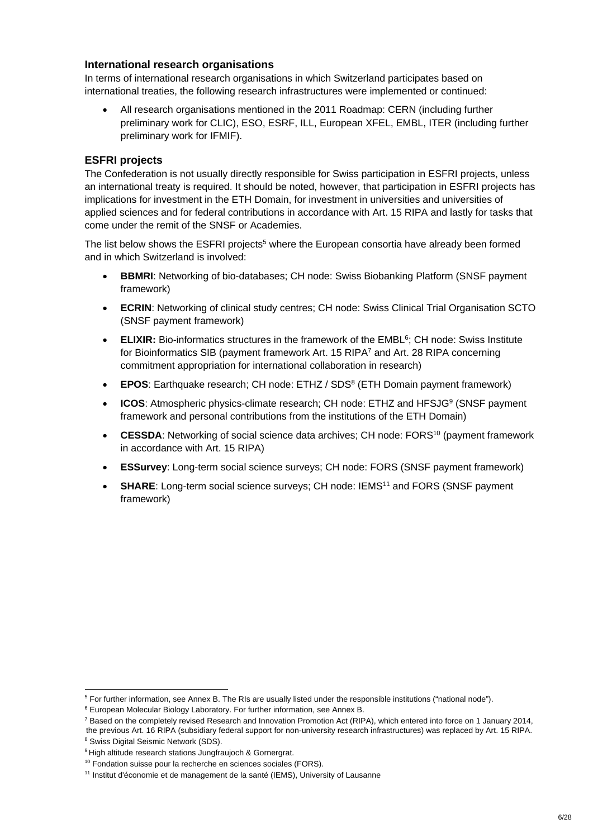#### **International research organisations**

In terms of international research organisations in which Switzerland participates based on international treaties, the following research infrastructures were implemented or continued:

 All research organisations mentioned in the 2011 Roadmap: CERN (including further preliminary work for CLIC), ESO, ESRF, ILL, European XFEL, EMBL, ITER (including further preliminary work for IFMIF).

#### **ESFRI projects**

The Confederation is not usually directly responsible for Swiss participation in ESFRI projects, unless an international treaty is required. It should be noted, however, that participation in ESFRI projects has implications for investment in the ETH Domain, for investment in universities and universities of applied sciences and for federal contributions in accordance with Art. 15 RIPA and lastly for tasks that come under the remit of the SNSF or Academies.

The list below shows the ESFRI projects<sup>5</sup> where the European consortia have already been formed and in which Switzerland is involved:

- **BBMRI**: Networking of bio-databases; CH node: Swiss Biobanking Platform (SNSF payment framework)
- **ECRIN**: Networking of clinical study centres; CH node: Swiss Clinical Trial Organisation SCTO (SNSF payment framework)
- **ELIXIR:** Bio-informatics structures in the framework of the EMBL<sup>6</sup>; CH node: Swiss Institute for Bioinformatics SIB (payment framework Art. 15 RIPA<sup>7</sup> and Art. 28 RIPA concerning commitment appropriation for international collaboration in research)
- **EPOS**: Earthquake research; CH node: ETHZ / SDS<sup>8</sup> (ETH Domain payment framework)
- **ICOS:** Atmospheric physics-climate research; CH node: ETHZ and HFSJG<sup>9</sup> (SNSF payment framework and personal contributions from the institutions of the ETH Domain)
- **CESSDA**: Networking of social science data archives; CH node: FORS10 (payment framework in accordance with Art. 15 RIPA)
- **ESSurvey**: Long-term social science surveys; CH node: FORS (SNSF payment framework)
- **SHARE:** Long-term social science surveys; CH node: IEMS<sup>11</sup> and FORS (SNSF payment framework)

the previous Art. 16 RIPA (subsidiary federal support for non-university research infrastructures) was replaced by Art. 15 RIPA. 8 Swiss Digital Seismic Network (SDS).

1

<sup>&</sup>lt;sup>5</sup> For further information, see Annex B. The RIs are usually listed under the responsible institutions ("national node").

<sup>6</sup> European Molecular Biology Laboratory. For further information, see Annex B.

<sup>&</sup>lt;sup>7</sup> Based on the completely revised Research and Innovation Promotion Act (RIPA), which entered into force on 1 January 2014,

<sup>&</sup>lt;sup>9</sup> High altitude research stations Jungfraujoch & Gornergrat.

<sup>&</sup>lt;sup>10</sup> Fondation suisse pour la recherche en sciences sociales (FORS).

<sup>&</sup>lt;sup>11</sup> Institut d'économie et de management de la santé (IEMS), University of Lausanne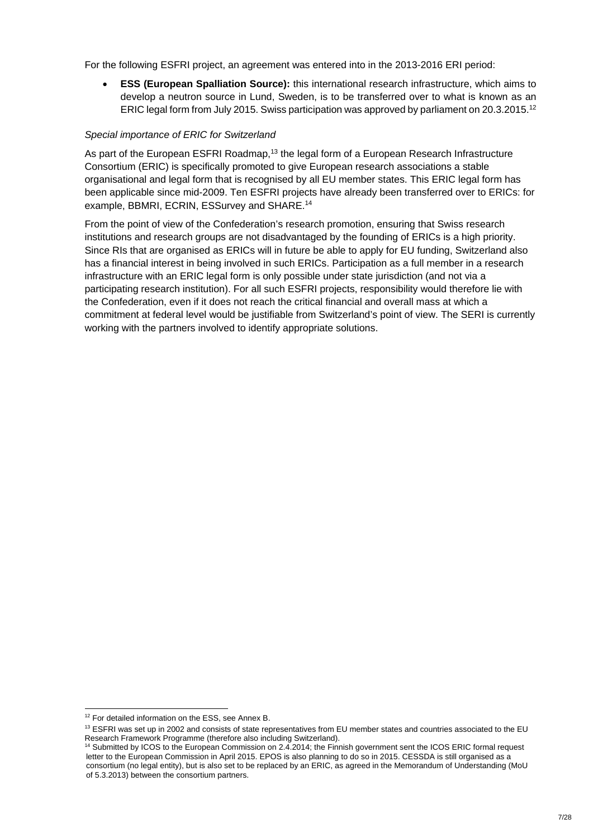For the following ESFRI project, an agreement was entered into in the 2013-2016 ERI period:

 **ESS (European Spalliation Source):** this international research infrastructure, which aims to develop a neutron source in Lund, Sweden, is to be transferred over to what is known as an ERIC legal form from July 2015. Swiss participation was approved by parliament on 20.3.2015.12

#### *Special importance of ERIC for Switzerland*

As part of the European ESFRI Roadmap,<sup>13</sup> the legal form of a European Research Infrastructure Consortium (ERIC) is specifically promoted to give European research associations a stable organisational and legal form that is recognised by all EU member states. This ERIC legal form has been applicable since mid-2009. Ten ESFRI projects have already been transferred over to ERICs: for example, BBMRI, ECRIN, ESSurvey and SHARE.14

From the point of view of the Confederation's research promotion, ensuring that Swiss research institutions and research groups are not disadvantaged by the founding of ERICs is a high priority. Since RIs that are organised as ERICs will in future be able to apply for EU funding, Switzerland also has a financial interest in being involved in such ERICs. Participation as a full member in a research infrastructure with an ERIC legal form is only possible under state jurisdiction (and not via a participating research institution). For all such ESFRI projects, responsibility would therefore lie with the Confederation, even if it does not reach the critical financial and overall mass at which a commitment at federal level would be justifiable from Switzerland's point of view. The SERI is currently working with the partners involved to identify appropriate solutions.

1

<sup>&</sup>lt;sup>12</sup> For detailed information on the ESS, see Annex B.

 $13$  ESFRI was set up in 2002 and consists of state representatives from EU member states and countries associated to the EU Research Framework Programme (therefore also including Switzerland).

<sup>14</sup> Submitted by ICOS to the European Commission on 2.4.2014; the Finnish government sent the ICOS ERIC formal request letter to the European Commission in April 2015. EPOS is also planning to do so in 2015. CESSDA is still organised as a consortium (no legal entity), but is also set to be replaced by an ERIC, as agreed in the Memorandum of Understanding (MoU of 5.3.2013) between the consortium partners.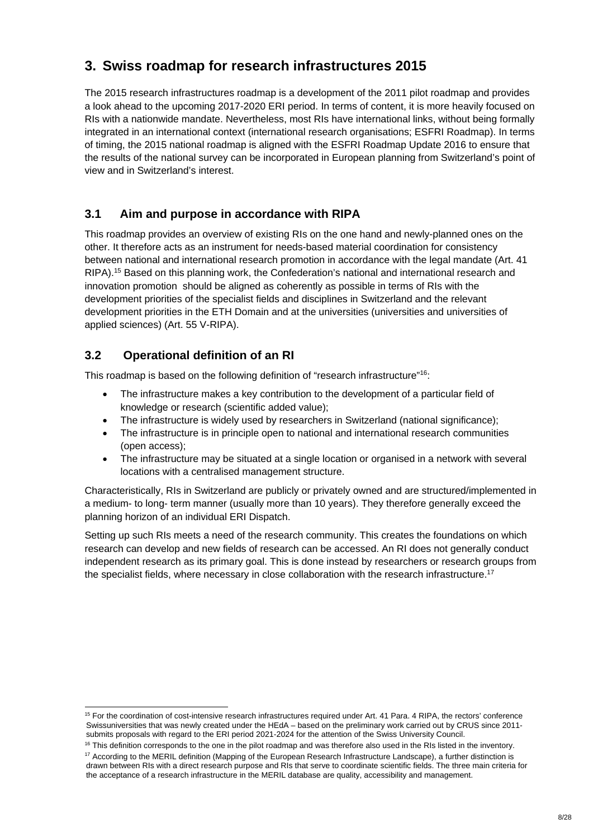## **3. Swiss roadmap for research infrastructures 2015**

The 2015 research infrastructures roadmap is a development of the 2011 pilot roadmap and provides a look ahead to the upcoming 2017-2020 ERI period. In terms of content, it is more heavily focused on RIs with a nationwide mandate. Nevertheless, most RIs have international links, without being formally integrated in an international context (international research organisations; ESFRI Roadmap). In terms of timing, the 2015 national roadmap is aligned with the ESFRI Roadmap Update 2016 to ensure that the results of the national survey can be incorporated in European planning from Switzerland's point of view and in Switzerland's interest.

## **3.1 Aim and purpose in accordance with RIPA**

This roadmap provides an overview of existing RIs on the one hand and newly-planned ones on the other. It therefore acts as an instrument for needs-based material coordination for consistency between national and international research promotion in accordance with the legal mandate (Art. 41 RIPA).15 Based on this planning work, the Confederation's national and international research and innovation promotion should be aligned as coherently as possible in terms of RIs with the development priorities of the specialist fields and disciplines in Switzerland and the relevant development priorities in the ETH Domain and at the universities (universities and universities of applied sciences) (Art. 55 V-RIPA).

## **3.2 Operational definition of an RI**

This roadmap is based on the following definition of "research infrastructure"<sup>16</sup>:

- The infrastructure makes a key contribution to the development of a particular field of knowledge or research (scientific added value);
- The infrastructure is widely used by researchers in Switzerland (national significance);
- The infrastructure is in principle open to national and international research communities (open access);
- The infrastructure may be situated at a single location or organised in a network with several locations with a centralised management structure.

Characteristically, RIs in Switzerland are publicly or privately owned and are structured/implemented in a medium- to long- term manner (usually more than 10 years). They therefore generally exceed the planning horizon of an individual ERI Dispatch.

Setting up such RIs meets a need of the research community. This creates the foundations on which research can develop and new fields of research can be accessed. An RI does not generally conduct independent research as its primary goal. This is done instead by researchers or research groups from the specialist fields, where necessary in close collaboration with the research infrastructure.<sup>17</sup>

<sup>-</sup><sup>15</sup> For the coordination of cost-intensive research infrastructures required under Art. 41 Para, 4 RIPA, the rectors' conference Swissuniversities that was newly created under the HEdA – based on the preliminary work carried out by CRUS since 2011 submits proposals with regard to the ERI period 2021-2024 for the attention of the Swiss University Council.

 $16$  This definition corresponds to the one in the pilot roadmap and was therefore also used in the RIs listed in the inventory. <sup>17</sup> According to the MERIL definition (Mapping of the European Research Infrastructure Landscape), a further distinction is drawn between RIs with a direct research purpose and RIs that serve to coordinate scientific fields. The three main criteria for the acceptance of a research infrastructure in the MERIL database are quality, accessibility and management.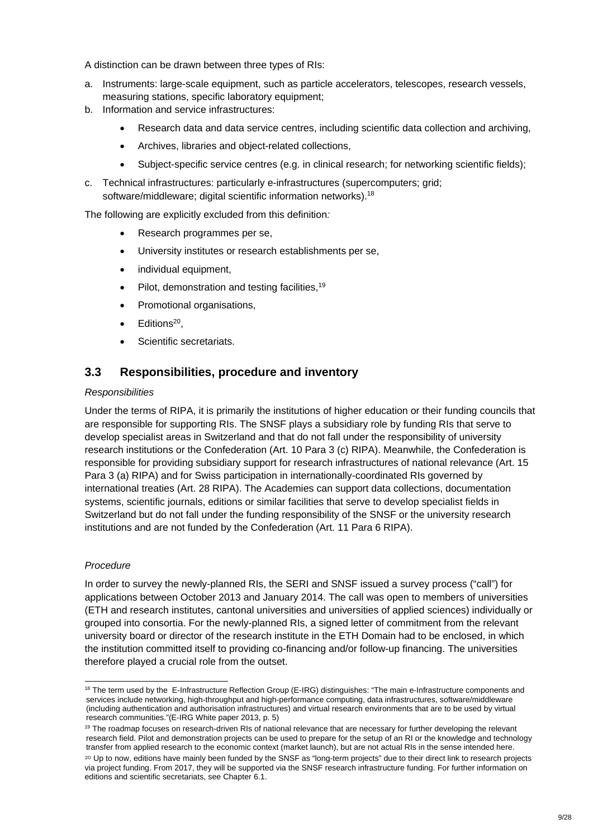A distinction can be drawn between three types of RIs:

- a. Instruments: large-scale equipment, such as particle accelerators, telescopes, research vessels, measuring stations, specific laboratory equipment;
- b. Information and service infrastructures:
	- Research data and data service centres, including scientific data collection and archiving,
	- Archives, libraries and object-related collections,
	- Subject-specific service centres (e.g. in clinical research; for networking scientific fields);
- c. Technical infrastructures: particularly e-infrastructures (supercomputers; grid; software/middleware; digital scientific information networks).<sup>18</sup>

The following are explicitly excluded from this definition*:*

- Research programmes per se,
- University institutes or research establishments per se,
- individual equipment.
- $\bullet$  Pilot, demonstration and testing facilities, <sup>19</sup>
- Promotional organisations,
- Editions<sup>20</sup>.
- Scientific secretariats.

### **3.3 Responsibilities, procedure and inventory**

#### *Responsibilities*

Under the terms of RIPA, it is primarily the institutions of higher education or their funding councils that are responsible for supporting RIs. The SNSF plays a subsidiary role by funding RIs that serve to develop specialist areas in Switzerland and that do not fall under the responsibility of university research institutions or the Confederation (Art. 10 Para 3 (c) RIPA). Meanwhile, the Confederation is responsible for providing subsidiary support for research infrastructures of national relevance (Art. 15 Para 3 (a) RIPA) and for Swiss participation in internationally-coordinated RIs governed by international treaties (Art. 28 RIPA). The Academies can support data collections, documentation systems, scientific journals, editions or similar facilities that serve to develop specialist fields in Switzerland but do not fall under the funding responsibility of the SNSF or the university research institutions and are not funded by the Confederation (Art. 11 Para 6 RIPA).

#### *Procedure*

1

In order to survey the newly-planned RIs, the SERI and SNSF issued a survey process ("call") for applications between October 2013 and January 2014. The call was open to members of universities (ETH and research institutes, cantonal universities and universities of applied sciences) individually or grouped into consortia. For the newly-planned RIs, a signed letter of commitment from the relevant university board or director of the research institute in the ETH Domain had to be enclosed, in which the institution committed itself to providing co-financing and/or follow-up financing. The universities therefore played a crucial role from the outset.

<sup>&</sup>lt;sup>18</sup> The term used by the E-Infrastructure Reflection Group (E-IRG) distinguishes: "The main e-Infrastructure components and services include networking, high-throughput and high-performance computing, data infrastructures, software/middleware (including authentication and authorisation infrastructures) and virtual research environments that are to be used by virtual research communities."(E-IRG White paper 2013, p. 5)

<sup>&</sup>lt;sup>19</sup> The roadmap focuses on research-driven RIs of national relevance that are necessary for further developing the relevant research field. Pilot and demonstration projects can be used to prepare for the setup of an RI or the knowledge and technology transfer from applied research to the economic context (market launch), but are not actual RIs in the sense intended here.

<sup>&</sup>lt;sup>20</sup> Up to now, editions have mainly been funded by the SNSF as "long-term projects" due to their direct link to research projects via project funding. From 2017, they will be supported via the SNSF research infrastructure funding. For further information on editions and scientific secretariats, see Chapter 6.1.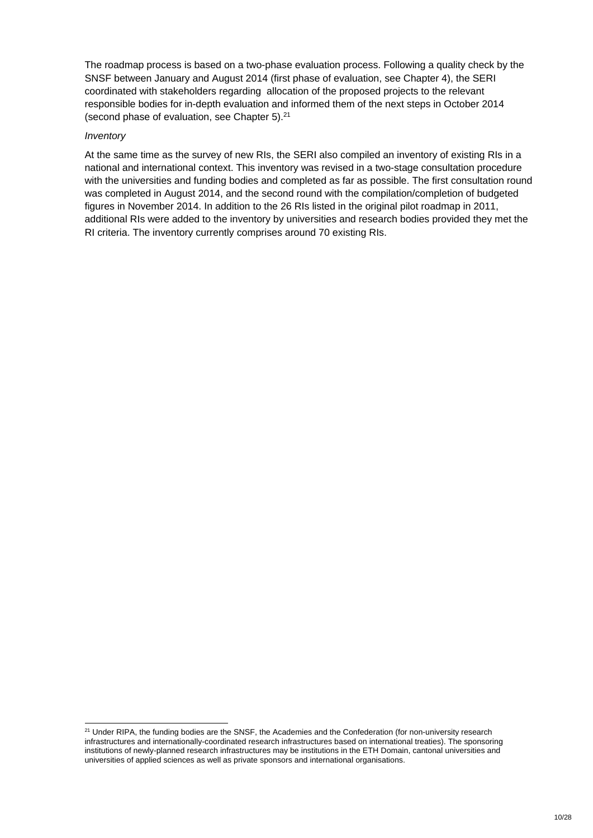The roadmap process is based on a two-phase evaluation process. Following a quality check by the SNSF between January and August 2014 (first phase of evaluation, see Chapter 4), the SERI coordinated with stakeholders regarding allocation of the proposed projects to the relevant responsible bodies for in-depth evaluation and informed them of the next steps in October 2014 (second phase of evaluation, see Chapter  $5$ ).<sup>21</sup>

#### *Inventory*

1

At the same time as the survey of new RIs, the SERI also compiled an inventory of existing RIs in a national and international context. This inventory was revised in a two-stage consultation procedure with the universities and funding bodies and completed as far as possible. The first consultation round was completed in August 2014, and the second round with the compilation/completion of budgeted figures in November 2014. In addition to the 26 RIs listed in the original pilot roadmap in 2011, additional RIs were added to the inventory by universities and research bodies provided they met the RI criteria. The inventory currently comprises around 70 existing RIs.

<sup>&</sup>lt;sup>21</sup> Under RIPA, the funding bodies are the SNSF, the Academies and the Confederation (for non-university research infrastructures and internationally-coordinated research infrastructures based on international treaties). The sponsoring institutions of newly-planned research infrastructures may be institutions in the ETH Domain, cantonal universities and universities of applied sciences as well as private sponsors and international organisations.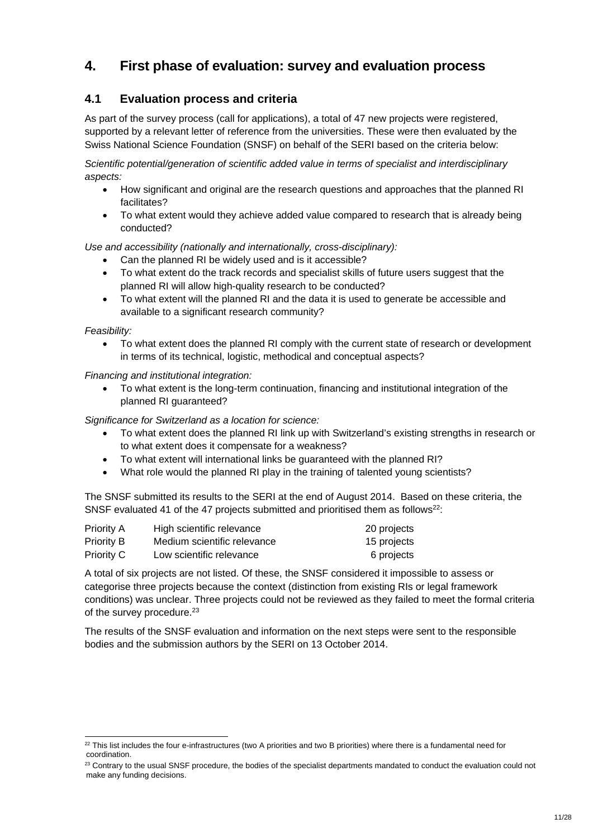## **4. First phase of evaluation: survey and evaluation process**

## **4.1 Evaluation process and criteria**

As part of the survey process (call for applications), a total of 47 new projects were registered, supported by a relevant letter of reference from the universities. These were then evaluated by the Swiss National Science Foundation (SNSF) on behalf of the SERI based on the criteria below:

*Scientific potential/generation of scientific added value in terms of specialist and interdisciplinary aspects:* 

- How significant and original are the research questions and approaches that the planned RI facilitates?
- To what extent would they achieve added value compared to research that is already being conducted?

*Use and accessibility (nationally and internationally, cross-disciplinary):* 

- Can the planned RI be widely used and is it accessible?
- To what extent do the track records and specialist skills of future users suggest that the planned RI will allow high-quality research to be conducted?
- To what extent will the planned RI and the data it is used to generate be accessible and available to a significant research community?

*Feasibility:* 

-

 To what extent does the planned RI comply with the current state of research or development in terms of its technical, logistic, methodical and conceptual aspects?

*Financing and institutional integration:* 

 To what extent is the long-term continuation, financing and institutional integration of the planned RI guaranteed?

*Significance for Switzerland as a location for science:* 

- To what extent does the planned RI link up with Switzerland's existing strengths in research or to what extent does it compensate for a weakness?
- To what extent will international links be guaranteed with the planned RI?
- What role would the planned RI play in the training of talented young scientists?

The SNSF submitted its results to the SERI at the end of August 2014. Based on these criteria, the SNSF evaluated 41 of the 47 projects submitted and prioritised them as follows<sup>22</sup>:

| Priority A        | High scientific relevance   | 20 projects |
|-------------------|-----------------------------|-------------|
| <b>Priority B</b> | Medium scientific relevance | 15 projects |
| <b>Priority C</b> | Low scientific relevance    | 6 projects  |

A total of six projects are not listed. Of these, the SNSF considered it impossible to assess or categorise three projects because the context (distinction from existing RIs or legal framework conditions) was unclear. Three projects could not be reviewed as they failed to meet the formal criteria of the survey procedure.<sup>23</sup>

The results of the SNSF evaluation and information on the next steps were sent to the responsible bodies and the submission authors by the SERI on 13 October 2014.

 $22$  This list includes the four e-infrastructures (two A priorities and two B priorities) where there is a fundamental need for coordination.

<sup>&</sup>lt;sup>23</sup> Contrary to the usual SNSF procedure, the bodies of the specialist departments mandated to conduct the evaluation could not make any funding decisions.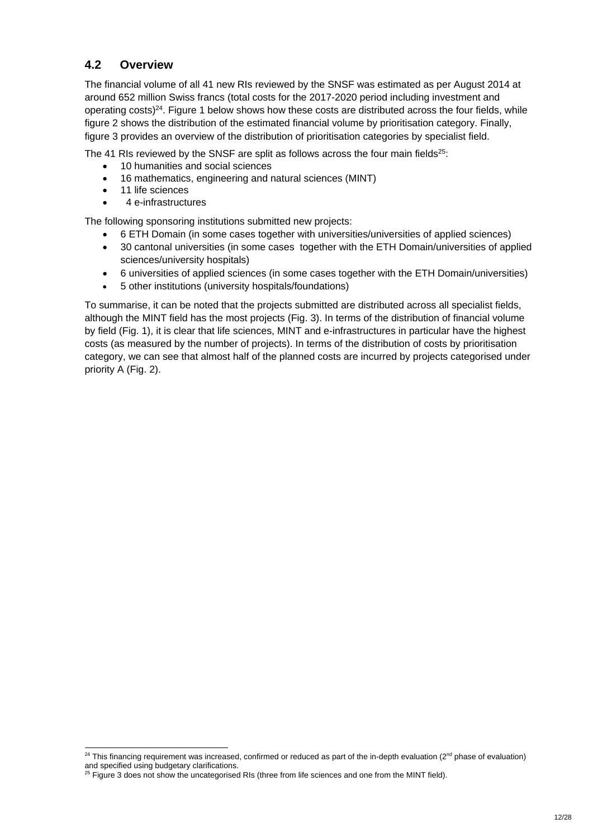## **4.2 Overview**

The financial volume of all 41 new RIs reviewed by the SNSF was estimated as per August 2014 at around 652 million Swiss francs (total costs for the 2017-2020 period including investment and operating costs) $24$ . Figure 1 below shows how these costs are distributed across the four fields, while figure 2 shows the distribution of the estimated financial volume by prioritisation category. Finally, figure 3 provides an overview of the distribution of prioritisation categories by specialist field.

The 41 RIs reviewed by the SNSF are split as follows across the four main fields<sup>25</sup>:

- 10 humanities and social sciences
- 16 mathematics, engineering and natural sciences (MINT)
- 11 life sciences

-

4 e-infrastructures

The following sponsoring institutions submitted new projects:

- 6 ETH Domain (in some cases together with universities/universities of applied sciences)
- 30 cantonal universities (in some cases together with the ETH Domain/universities of applied sciences/university hospitals)
- 6 universities of applied sciences (in some cases together with the ETH Domain/universities)
- 5 other institutions (university hospitals/foundations)

To summarise, it can be noted that the projects submitted are distributed across all specialist fields, although the MINT field has the most projects (Fig. 3). In terms of the distribution of financial volume by field (Fig. 1), it is clear that life sciences, MINT and e-infrastructures in particular have the highest costs (as measured by the number of projects). In terms of the distribution of costs by prioritisation category, we can see that almost half of the planned costs are incurred by projects categorised under priority A (Fig. 2).

 $24$  This financing requirement was increased, confirmed or reduced as part of the in-depth evaluation ( $2<sup>nd</sup>$  phase of evaluation) and specified using budgetary clarifications.

 $25$  Figure 3 does not show the uncategorised RIs (three from life sciences and one from the MINT field).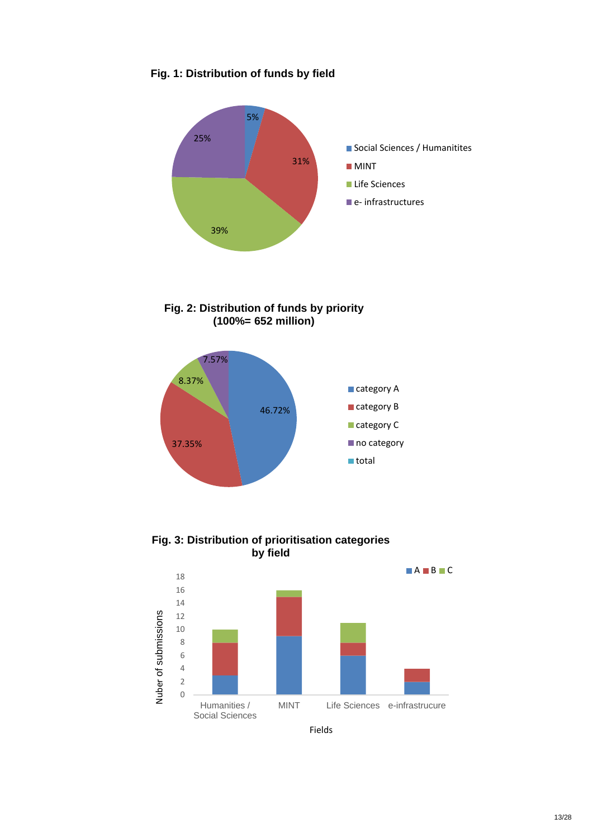## **Fig. 1: Distribution of funds by field**



**Fig. 2: Distribution of funds by priority (100%= 652 million)**



**Fig. 3: Distribution of prioritisation categories by field**



Fields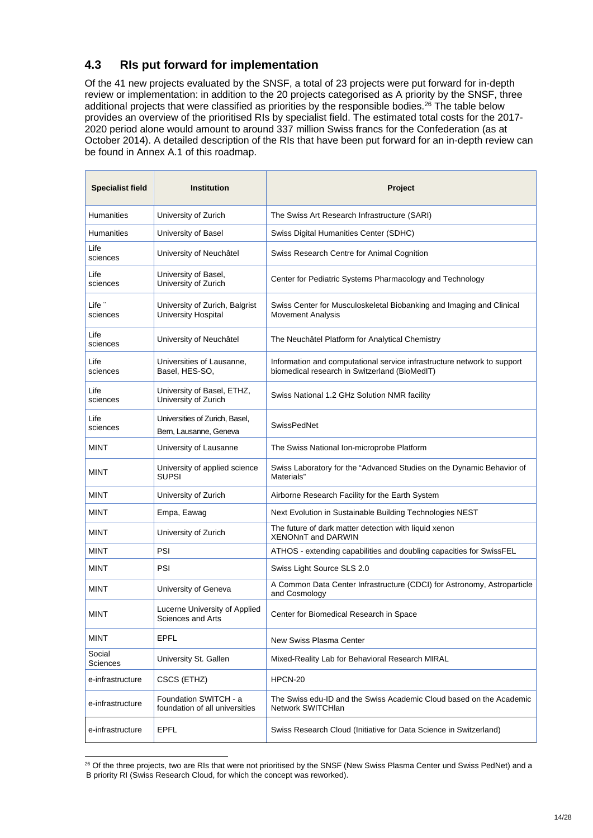## **4.3 RIs put forward for implementation**

Of the 41 new projects evaluated by the SNSF, a total of 23 projects were put forward for in-depth review or implementation: in addition to the 20 projects categorised as A priority by the SNSF, three additional projects that were classified as priorities by the responsible bodies.<sup>26</sup> The table below provides an overview of the prioritised RIs by specialist field. The estimated total costs for the 2017- 2020 period alone would amount to around 337 million Swiss francs for the Confederation (as at October 2014). A detailed description of the RIs that have been put forward for an in-depth review can be found in Annex A.1 of this roadmap.

| <b>Specialist field</b>       | <b>Institution</b>                                       | Project                                                                                                                  |
|-------------------------------|----------------------------------------------------------|--------------------------------------------------------------------------------------------------------------------------|
| Humanities                    | University of Zurich                                     | The Swiss Art Research Infrastructure (SARI)                                                                             |
| <b>Humanities</b>             | University of Basel                                      | Swiss Digital Humanities Center (SDHC)                                                                                   |
| Life<br>sciences              | University of Neuchâtel                                  | Swiss Research Centre for Animal Cognition                                                                               |
| Life<br>sciences              | University of Basel,<br>University of Zurich             | Center for Pediatric Systems Pharmacology and Technology                                                                 |
| Life <sup>-</sup><br>sciences | University of Zurich, Balgrist<br>University Hospital    | Swiss Center for Musculoskeletal Biobanking and Imaging and Clinical<br><b>Movement Analysis</b>                         |
| Life<br>sciences              | University of Neuchâtel                                  | The Neuchâtel Platform for Analytical Chemistry                                                                          |
| Life<br>sciences              | Universities of Lausanne,<br>Basel, HES-SO,              | Information and computational service infrastructure network to support<br>biomedical research in Switzerland (BioMedIT) |
| Life<br>sciences              | University of Basel, ETHZ,<br>University of Zurich       | Swiss National 1.2 GHz Solution NMR facility                                                                             |
| Life<br>sciences              | Universities of Zurich, Basel,<br>Bern, Lausanne, Geneva | <b>SwissPedNet</b>                                                                                                       |
| <b>MINT</b>                   | University of Lausanne                                   | The Swiss National Ion-microprobe Platform                                                                               |
| <b>MINT</b>                   | University of applied science<br><b>SUPSI</b>            | Swiss Laboratory for the "Advanced Studies on the Dynamic Behavior of<br>Materials"                                      |
| <b>MINT</b>                   | University of Zurich                                     | Airborne Research Facility for the Earth System                                                                          |
| <b>MINT</b>                   | Empa, Eawag                                              | Next Evolution in Sustainable Building Technologies NEST                                                                 |
| <b>MINT</b>                   | University of Zurich                                     | The future of dark matter detection with liquid xenon<br><b>XENONnT and DARWIN</b>                                       |
| <b>MINT</b>                   | PSI                                                      | ATHOS - extending capabilities and doubling capacities for SwissFEL                                                      |
| <b>MINT</b>                   | PSI                                                      | Swiss Light Source SLS 2.0                                                                                               |
| <b>MINT</b>                   | University of Geneva                                     | A Common Data Center Infrastructure (CDCI) for Astronomy, Astroparticle<br>and Cosmology                                 |
| <b>MINT</b>                   | Lucerne University of Applied<br>Sciences and Arts       | Center for Biomedical Research in Space                                                                                  |
| <b>MINT</b>                   | EPFL                                                     | New Swiss Plasma Center                                                                                                  |
| Social<br>Sciences            | University St. Gallen                                    | Mixed-Reality Lab for Behavioral Research MIRAL                                                                          |
| e-infrastructure              | CSCS (ETHZ)                                              | HPCN-20                                                                                                                  |
| e-infrastructure              | Foundation SWITCH - a<br>foundation of all universities  | The Swiss edu-ID and the Swiss Academic Cloud based on the Academic<br>Network SWITCHlan                                 |
| e-infrastructure              | <b>EPFL</b>                                              | Swiss Research Cloud (Initiative for Data Science in Switzerland)                                                        |

<sup>1</sup> <sup>26</sup> Of the three projects, two are RIs that were not prioritised by the SNSF (New Swiss Plasma Center und Swiss PedNet) and a B priority RI (Swiss Research Cloud, for which the concept was reworked).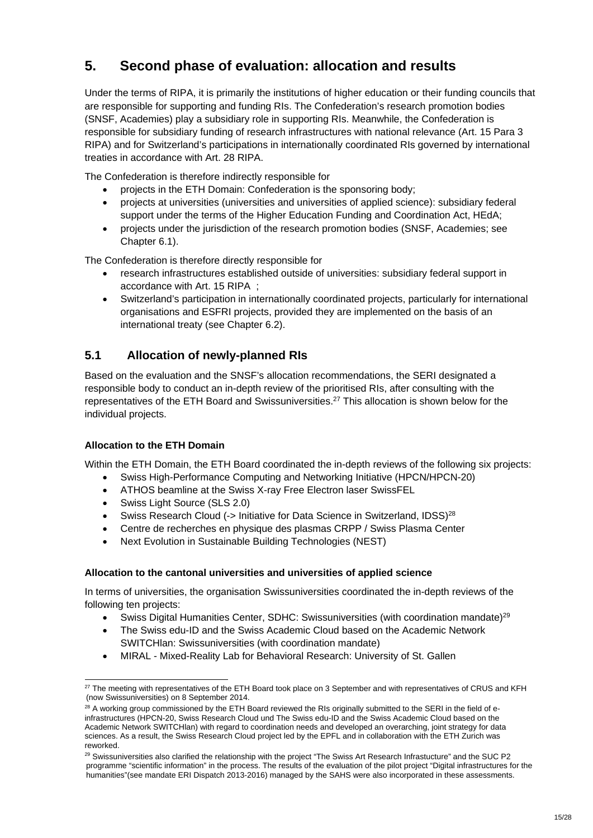## **5. Second phase of evaluation: allocation and results**

Under the terms of RIPA, it is primarily the institutions of higher education or their funding councils that are responsible for supporting and funding RIs. The Confederation's research promotion bodies (SNSF, Academies) play a subsidiary role in supporting RIs. Meanwhile, the Confederation is responsible for subsidiary funding of research infrastructures with national relevance (Art. 15 Para 3 RIPA) and for Switzerland's participations in internationally coordinated RIs governed by international treaties in accordance with Art. 28 RIPA.

The Confederation is therefore indirectly responsible for

- projects in the ETH Domain: Confederation is the sponsoring body;
- projects at universities (universities and universities of applied science): subsidiary federal support under the terms of the Higher Education Funding and Coordination Act, HEdA;
- projects under the jurisdiction of the research promotion bodies (SNSF, Academies; see Chapter 6.1).

The Confederation is therefore directly responsible for

- research infrastructures established outside of universities: subsidiary federal support in accordance with Art. 15 RIPA ;
- Switzerland's participation in internationally coordinated projects, particularly for international organisations and ESFRI projects, provided they are implemented on the basis of an international treaty (see Chapter 6.2).

## **5.1 Allocation of newly-planned RIs**

Based on the evaluation and the SNSF's allocation recommendations, the SERI designated a responsible body to conduct an in-depth review of the prioritised RIs, after consulting with the representatives of the ETH Board and Swissuniversities.<sup>27</sup> This allocation is shown below for the individual projects.

#### **Allocation to the ETH Domain**

Within the ETH Domain, the ETH Board coordinated the in-depth reviews of the following six projects:

- Swiss High-Performance Computing and Networking Initiative (HPCN/HPCN-20)
- ATHOS beamline at the Swiss X-ray Free Electron laser SwissFEL
- Swiss Light Source (SLS 2.0)
- Swiss Research Cloud (-> Initiative for Data Science in Switzerland, IDSS)<sup>28</sup>
- Centre de recherches en physique des plasmas CRPP / Swiss Plasma Center
- Next Evolution in Sustainable Building Technologies (NEST)

#### **Allocation to the cantonal universities and universities of applied science**

In terms of universities, the organisation Swissuniversities coordinated the in-depth reviews of the following ten projects:

- Swiss Digital Humanities Center, SDHC: Swissuniversities (with coordination mandate)<sup>29</sup>
- The Swiss edu-ID and the Swiss Academic Cloud based on the Academic Network SWITCHlan: Swissuniversities (with coordination mandate)
- MIRAL Mixed-Reality Lab for Behavioral Research: University of St. Gallen

<sup>1</sup> <sup>27</sup> The meeting with representatives of the ETH Board took place on 3 September and with representatives of CRUS and KFH (now Swissuniversities) on 8 September 2014.

 $28$  A working group commissioned by the ETH Board reviewed the RIs originally submitted to the SERI in the field of einfrastructures (HPCN-20, Swiss Research Cloud und The Swiss edu-ID and the Swiss Academic Cloud based on the Academic Network SWITCHlan) with regard to coordination needs and developed an overarching, joint strategy for data sciences. As a result, the Swiss Research Cloud project led by the EPFL and in collaboration with the ETH Zurich was reworked.

<sup>&</sup>lt;sup>29</sup> Swissuniversities also clarified the relationship with the project "The Swiss Art Research Infrastucture" and the SUC P2 programme "scientific information" in the process. The results of the evaluation of the pilot project "Digital infrastructures for the humanities"(see mandate ERI Dispatch 2013-2016) managed by the SAHS were also incorporated in these assessments.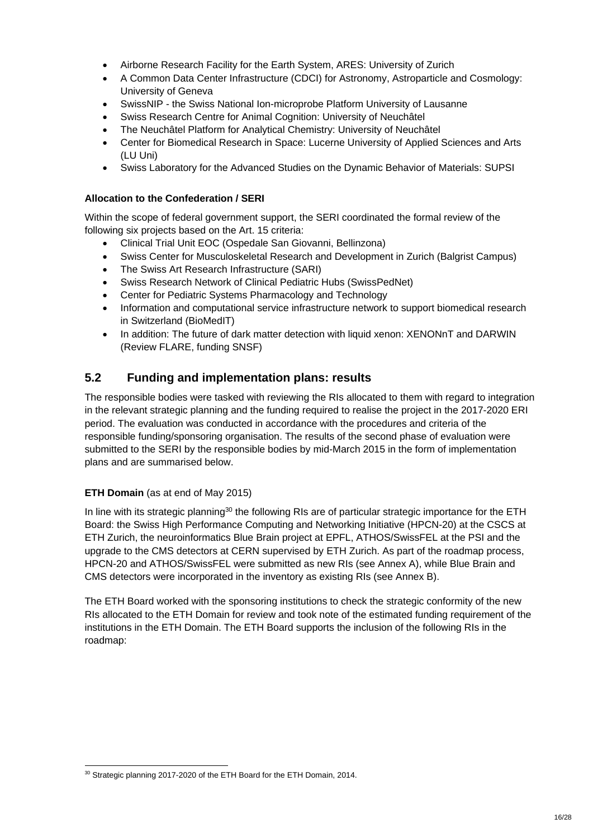- Airborne Research Facility for the Earth System, ARES: University of Zurich
- A Common Data Center Infrastructure (CDCI) for Astronomy, Astroparticle and Cosmology: University of Geneva
- SwissNIP the Swiss National Ion-microprobe Platform University of Lausanne
- Swiss Research Centre for Animal Cognition: University of Neuchâtel
- The Neuchâtel Platform for Analytical Chemistry: University of Neuchâtel
- Center for Biomedical Research in Space: Lucerne University of Applied Sciences and Arts (LU Uni)
- Swiss Laboratory for the Advanced Studies on the Dynamic Behavior of Materials: SUPSI

#### **Allocation to the Confederation / SERI**

Within the scope of federal government support, the SERI coordinated the formal review of the following six projects based on the Art. 15 criteria:

- Clinical Trial Unit EOC (Ospedale San Giovanni, Bellinzona)
- Swiss Center for Musculoskeletal Research and Development in Zurich (Balgrist Campus)
- The Swiss Art Research Infrastructure (SARI)
- Swiss Research Network of Clinical Pediatric Hubs (SwissPedNet)
- Center for Pediatric Systems Pharmacology and Technology
- Information and computational service infrastructure network to support biomedical research in Switzerland (BioMedIT)
- In addition: The future of dark matter detection with liquid xenon: XENONnT and DARWIN (Review FLARE, funding SNSF)

### **5.2 Funding and implementation plans: results**

The responsible bodies were tasked with reviewing the RIs allocated to them with regard to integration in the relevant strategic planning and the funding required to realise the project in the 2017-2020 ERI period. The evaluation was conducted in accordance with the procedures and criteria of the responsible funding/sponsoring organisation. The results of the second phase of evaluation were submitted to the SERI by the responsible bodies by mid-March 2015 in the form of implementation plans and are summarised below.

#### **ETH Domain** (as at end of May 2015)

In line with its strategic planning<sup>30</sup> the following RIs are of particular strategic importance for the ETH Board: the Swiss High Performance Computing and Networking Initiative (HPCN-20) at the CSCS at ETH Zurich, the neuroinformatics Blue Brain project at EPFL, ATHOS/SwissFEL at the PSI and the upgrade to the CMS detectors at CERN supervised by ETH Zurich. As part of the roadmap process, HPCN-20 and ATHOS/SwissFEL were submitted as new RIs (see Annex A), while Blue Brain and CMS detectors were incorporated in the inventory as existing RIs (see Annex B).

The ETH Board worked with the sponsoring institutions to check the strategic conformity of the new RIs allocated to the ETH Domain for review and took note of the estimated funding requirement of the institutions in the ETH Domain. The ETH Board supports the inclusion of the following RIs in the roadmap:

<sup>-</sup><sup>30</sup> Strategic planning 2017-2020 of the ETH Board for the ETH Domain, 2014.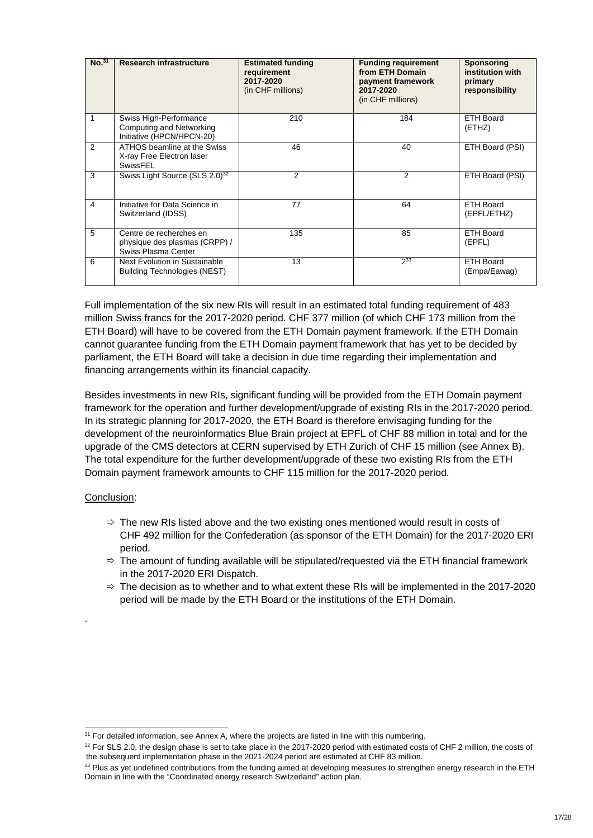| No. <sup>31</sup> | <b>Research infrastructure</b>                                                  | <b>Estimated funding</b><br>requirement<br>2017-2020<br>(in CHF millions) | <b>Funding requirement</b><br>from ETH Domain<br>payment framework<br>2017-2020<br>(in CHF millions) | <b>Sponsoring</b><br>institution with<br>primary<br>responsibility |
|-------------------|---------------------------------------------------------------------------------|---------------------------------------------------------------------------|------------------------------------------------------------------------------------------------------|--------------------------------------------------------------------|
| 1                 | Swiss High-Performance<br>Computing and Networking<br>Initiative (HPCN/HPCN-20) | 210                                                                       | 184                                                                                                  | ETH Board<br>(ETHZ)                                                |
| $\mathfrak{p}$    | ATHOS beamline at the Swiss<br>X-ray Free Electron laser<br>SwissFEL            | 46                                                                        | 40                                                                                                   | ETH Board (PSI)                                                    |
| 3                 | Swiss Light Source (SLS 2.0) <sup>32</sup>                                      | $\overline{2}$                                                            | 2                                                                                                    | ETH Board (PSI)                                                    |
| 4                 | Initiative for Data Science in<br>Switzerland (IDSS)                            | 77                                                                        | 64                                                                                                   | <b>ETH Board</b><br>(EPFL/ETHZ)                                    |
| 5                 | Centre de recherches en<br>physique des plasmas (CRPP) /<br>Swiss Plasma Center | 135                                                                       | 85                                                                                                   | ETH Board<br>(EPFL)                                                |
| 6                 | Next Evolution in Sustainable<br><b>Building Technologies (NEST)</b>            | 13                                                                        | $2^{33}$                                                                                             | ETH Board<br>(Empa/Eawag)                                          |

Full implementation of the six new RIs will result in an estimated total funding requirement of 483 million Swiss francs for the 2017-2020 period. CHF 377 million (of which CHF 173 million from the ETH Board) will have to be covered from the ETH Domain payment framework. If the ETH Domain cannot guarantee funding from the ETH Domain payment framework that has yet to be decided by parliament, the ETH Board will take a decision in due time regarding their implementation and financing arrangements within its financial capacity.

Besides investments in new RIs, significant funding will be provided from the ETH Domain payment framework for the operation and further development/upgrade of existing RIs in the 2017-2020 period. In its strategic planning for 2017-2020, the ETH Board is therefore envisaging funding for the development of the neuroinformatics Blue Brain project at EPFL of CHF 88 million in total and for the upgrade of the CMS detectors at CERN supervised by ETH Zurich of CHF 15 million (see Annex B). The total expenditure for the further development/upgrade of these two existing RIs from the ETH Domain payment framework amounts to CHF 115 million for the 2017-2020 period.

#### Conclusion:

.

1

- $\Rightarrow$  The new RIs listed above and the two existing ones mentioned would result in costs of CHF 492 million for the Confederation (as sponsor of the ETH Domain) for the 2017-2020 ERI period.
- $\Rightarrow$  The amount of funding available will be stipulated/requested via the ETH financial framework in the 2017-2020 ERI Dispatch.
- $\Rightarrow$  The decision as to whether and to what extent these RIs will be implemented in the 2017-2020 period will be made by the ETH Board or the institutions of the ETH Domain.

 $31$  For detailed information, see Annex A, where the projects are listed in line with this numbering.

<sup>&</sup>lt;sup>32</sup> For SLS 2.0, the design phase is set to take place in the 2017-2020 period with estimated costs of CHF 2 million, the costs of the subsequent implementation phase in the 2021-2024 period are estimated at CHF 83 million.

<sup>&</sup>lt;sup>33</sup> Plus as yet undefined contributions from the funding aimed at developing measures to strengthen energy research in the ETH Domain in line with the "Coordinated energy research Switzerland" action plan.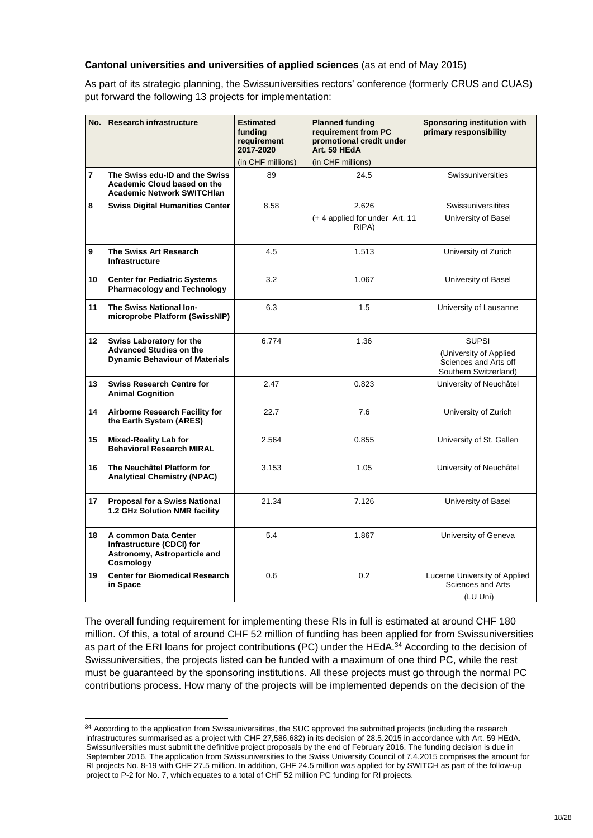#### **Cantonal universities and universities of applied sciences** (as at end of May 2015)

As part of its strategic planning, the Swissuniversities rectors' conference (formerly CRUS and CUAS) put forward the following 13 projects for implementation:

| No.             | <b>Research infrastructure</b>                                                                      | <b>Estimated</b><br>fundina<br>requirement<br>2017-2020 | <b>Planned funding</b><br>requirement from PC<br>promotional credit under<br>Art. 59 HEdA | Sponsoring institution with<br>primary responsibility                                    |
|-----------------|-----------------------------------------------------------------------------------------------------|---------------------------------------------------------|-------------------------------------------------------------------------------------------|------------------------------------------------------------------------------------------|
|                 |                                                                                                     | (in CHF millions)                                       | (in CHF millions)                                                                         |                                                                                          |
| $\overline{7}$  | The Swiss edu-ID and the Swiss<br>Academic Cloud based on the<br><b>Academic Network SWITCHIan</b>  | 89                                                      | 24.5                                                                                      | Swissuniversities                                                                        |
| 8               | <b>Swiss Digital Humanities Center</b>                                                              | 8.58                                                    | 2.626                                                                                     | <b>Swissuniversitites</b>                                                                |
|                 |                                                                                                     |                                                         | (+4 applied for under Art. 11<br>RIPA)                                                    | University of Basel                                                                      |
| 9               | The Swiss Art Research<br><b>Infrastructure</b>                                                     | 4.5                                                     | 1.513                                                                                     | University of Zurich                                                                     |
| 10              | <b>Center for Pediatric Systems</b><br><b>Pharmacology and Technology</b>                           | 3.2                                                     | 1.067                                                                                     | University of Basel                                                                      |
| 11              | The Swiss National Ion-<br>microprobe Platform (SwissNIP)                                           | 6.3                                                     | 1.5                                                                                       | University of Lausanne                                                                   |
| 12 <sup>2</sup> | Swiss Laboratory for the<br><b>Advanced Studies on the</b><br><b>Dynamic Behaviour of Materials</b> | 6.774                                                   | 1.36                                                                                      | <b>SUPSI</b><br>(University of Applied<br>Sciences and Arts off<br>Southern Switzerland) |
| 13              | <b>Swiss Research Centre for</b><br><b>Animal Cognition</b>                                         | 2.47                                                    | 0.823                                                                                     | University of Neuchâtel                                                                  |
| 14              | <b>Airborne Research Facility for</b><br>the Earth System (ARES)                                    | 22.7                                                    | 7.6                                                                                       | University of Zurich                                                                     |
| 15              | <b>Mixed-Reality Lab for</b><br><b>Behavioral Research MIRAL</b>                                    | 2.564                                                   | 0.855                                                                                     | University of St. Gallen                                                                 |
| 16              | The Neuchâtel Platform for<br><b>Analytical Chemistry (NPAC)</b>                                    | 3.153                                                   | 1.05                                                                                      | University of Neuchâtel                                                                  |
| 17              | <b>Proposal for a Swiss National</b><br>1.2 GHz Solution NMR facility                               | 21.34                                                   | 7.126                                                                                     | University of Basel                                                                      |
| 18              | A common Data Center<br>Infrastructure (CDCI) for<br>Astronomy, Astroparticle and<br>Cosmology      | 5.4                                                     | 1.867                                                                                     | University of Geneva                                                                     |
| 19              | <b>Center for Biomedical Research</b><br>in Space                                                   | 0.6                                                     | 0.2                                                                                       | Lucerne University of Applied<br>Sciences and Arts<br>(LU Uni)                           |

The overall funding requirement for implementing these RIs in full is estimated at around CHF 180 million. Of this, a total of around CHF 52 million of funding has been applied for from Swissuniversities as part of the ERI loans for project contributions (PC) under the HEdA.<sup>34</sup> According to the decision of Swissuniversities, the projects listed can be funded with a maximum of one third PC, while the rest must be guaranteed by the sponsoring institutions. All these projects must go through the normal PC contributions process. How many of the projects will be implemented depends on the decision of the

-

<sup>34</sup> According to the application from Swissuniversitites, the SUC approved the submitted projects (including the research infrastructures summarised as a project with CHF 27,586,682) in its decision of 28.5.2015 in accordance with Art. 59 HEdA. Swissuniversities must submit the definitive project proposals by the end of February 2016. The funding decision is due in September 2016. The application from Swissuniversities to the Swiss University Council of 7.4.2015 comprises the amount for RI projects No. 8-19 with CHF 27.5 million. In addition, CHF 24.5 million was applied for by SWITCH as part of the follow-up project to P-2 for No. 7, which equates to a total of CHF 52 million PC funding for RI projects.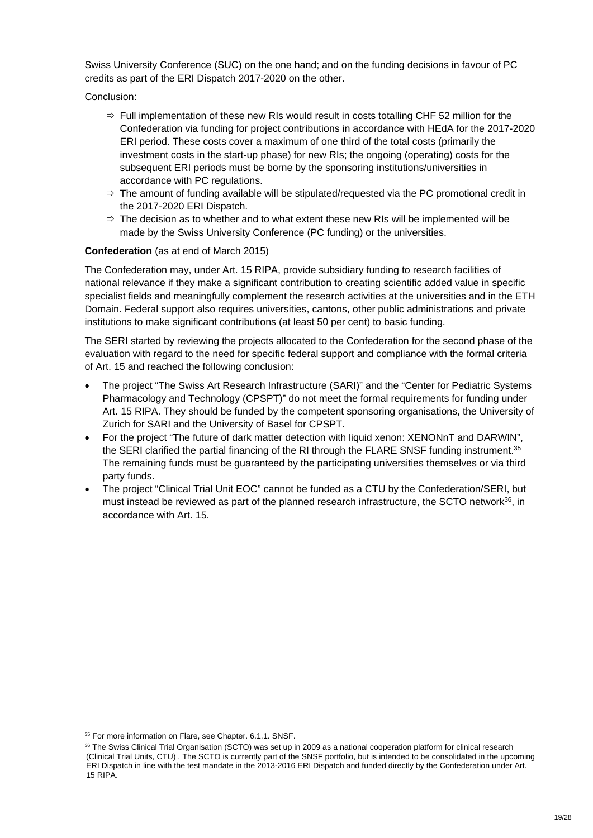Swiss University Conference (SUC) on the one hand; and on the funding decisions in favour of PC credits as part of the ERI Dispatch 2017-2020 on the other.

#### Conclusion:

- $\Rightarrow$  Full implementation of these new RIs would result in costs totalling CHF 52 million for the Confederation via funding for project contributions in accordance with HEdA for the 2017-2020 ERI period. These costs cover a maximum of one third of the total costs (primarily the investment costs in the start-up phase) for new RIs; the ongoing (operating) costs for the subsequent ERI periods must be borne by the sponsoring institutions/universities in accordance with PC regulations.
- $\Rightarrow$  The amount of funding available will be stipulated/requested via the PC promotional credit in the 2017-2020 ERI Dispatch.
- $\Rightarrow$  The decision as to whether and to what extent these new RIs will be implemented will be made by the Swiss University Conference (PC funding) or the universities.

#### **Confederation** (as at end of March 2015)

The Confederation may, under Art. 15 RIPA, provide subsidiary funding to research facilities of national relevance if they make a significant contribution to creating scientific added value in specific specialist fields and meaningfully complement the research activities at the universities and in the ETH Domain. Federal support also requires universities, cantons, other public administrations and private institutions to make significant contributions (at least 50 per cent) to basic funding.

The SERI started by reviewing the projects allocated to the Confederation for the second phase of the evaluation with regard to the need for specific federal support and compliance with the formal criteria of Art. 15 and reached the following conclusion:

- The project "The Swiss Art Research Infrastructure (SARI)" and the "Center for Pediatric Systems Pharmacology and Technology (CPSPT)" do not meet the formal requirements for funding under Art. 15 RIPA. They should be funded by the competent sponsoring organisations, the University of Zurich for SARI and the University of Basel for CPSPT.
- For the project "The future of dark matter detection with liquid xenon: XENONnT and DARWIN", the SERI clarified the partial financing of the RI through the FLARE SNSF funding instrument.<sup>35</sup> The remaining funds must be guaranteed by the participating universities themselves or via third party funds.
- The project "Clinical Trial Unit EOC" cannot be funded as a CTU by the Confederation/SERI, but must instead be reviewed as part of the planned research infrastructure, the SCTO network36, in accordance with Art. 15.

<sup>1</sup> <sup>35</sup> For more information on Flare, see Chapter. 6.1.1. SNSF.

<sup>&</sup>lt;sup>36</sup> The Swiss Clinical Trial Organisation (SCTO) was set up in 2009 as a national cooperation platform for clinical research (Clinical Trial Units, CTU) . The SCTO is currently part of the SNSF portfolio, but is intended to be consolidated in the upcoming ERI Dispatch in line with the test mandate in the 2013-2016 ERI Dispatch and funded directly by the Confederation under Art. 15 RIPA.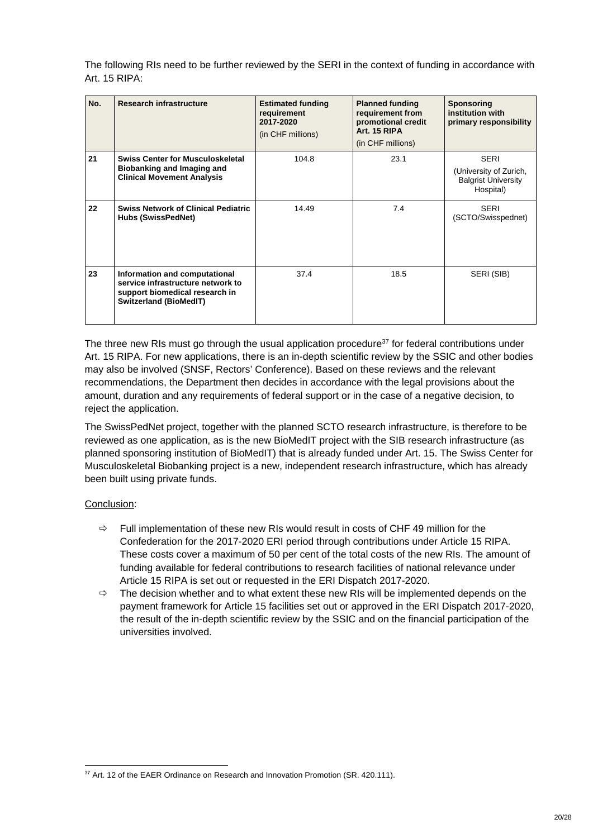The following RIs need to be further reviewed by the SERI in the context of funding in accordance with Art. 15 RIPA:

| No. | <b>Research infrastructure</b>                                                                                                        | <b>Estimated funding</b><br>requirement<br>2017-2020<br>(in CHF millions) | <b>Planned funding</b><br>requirement from<br>promotional credit<br>Art. 15 RIPA<br>(in CHF millions) | <b>Sponsoring</b><br>institution with<br>primary responsibility                  |
|-----|---------------------------------------------------------------------------------------------------------------------------------------|---------------------------------------------------------------------------|-------------------------------------------------------------------------------------------------------|----------------------------------------------------------------------------------|
| 21  | <b>Swiss Center for Musculoskeletal</b><br>Biobanking and Imaging and<br><b>Clinical Movement Analysis</b>                            | 104.8                                                                     | 23.1                                                                                                  | <b>SERI</b><br>(University of Zurich,<br><b>Balgrist University</b><br>Hospital) |
| 22  | <b>Swiss Network of Clinical Pediatric</b><br><b>Hubs (SwissPedNet)</b>                                                               | 14.49                                                                     | 7.4                                                                                                   | <b>SERI</b><br>(SCTO/Swisspednet)                                                |
| 23  | Information and computational<br>service infrastructure network to<br>support biomedical research in<br><b>Switzerland (BioMedIT)</b> | 37.4                                                                      | 18.5                                                                                                  | SERI (SIB)                                                                       |

The three new RIs must go through the usual application procedure $37$  for federal contributions under Art. 15 RIPA. For new applications, there is an in-depth scientific review by the SSIC and other bodies may also be involved (SNSF, Rectors' Conference). Based on these reviews and the relevant recommendations, the Department then decides in accordance with the legal provisions about the amount, duration and any requirements of federal support or in the case of a negative decision, to reject the application.

The SwissPedNet project, together with the planned SCTO research infrastructure, is therefore to be reviewed as one application, as is the new BioMedIT project with the SIB research infrastructure (as planned sponsoring institution of BioMedIT) that is already funded under Art. 15. The Swiss Center for Musculoskeletal Biobanking project is a new, independent research infrastructure, which has already been built using private funds.

#### Conclusion:

-

- $\Rightarrow$  Full implementation of these new RIs would result in costs of CHF 49 million for the Confederation for the 2017-2020 ERI period through contributions under Article 15 RIPA. These costs cover a maximum of 50 per cent of the total costs of the new RIs. The amount of funding available for federal contributions to research facilities of national relevance under Article 15 RIPA is set out or requested in the ERI Dispatch 2017-2020.
- $\Rightarrow$  The decision whether and to what extent these new RIs will be implemented depends on the payment framework for Article 15 facilities set out or approved in the ERI Dispatch 2017-2020, the result of the in-depth scientific review by the SSIC and on the financial participation of the universities involved.

<sup>&</sup>lt;sup>37</sup> Art. 12 of the EAER Ordinance on Research and Innovation Promotion (SR. 420.111).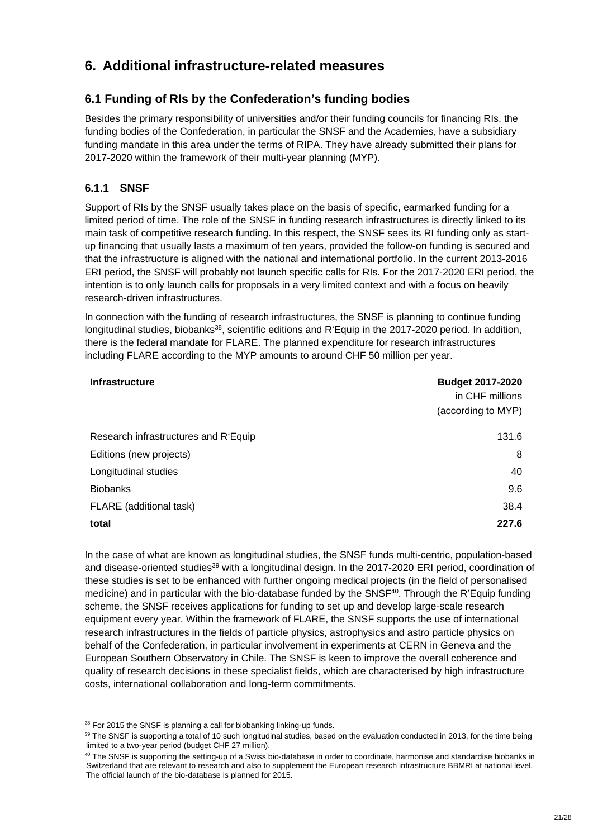## **6. Additional infrastructure-related measures**

## **6.1 Funding of RIs by the Confederation's funding bodies**

Besides the primary responsibility of universities and/or their funding councils for financing RIs, the funding bodies of the Confederation, in particular the SNSF and the Academies, have a subsidiary funding mandate in this area under the terms of RIPA. They have already submitted their plans for 2017-2020 within the framework of their multi-year planning (MYP).

### **6.1.1 SNSF**

Support of RIs by the SNSF usually takes place on the basis of specific, earmarked funding for a limited period of time. The role of the SNSF in funding research infrastructures is directly linked to its main task of competitive research funding. In this respect, the SNSF sees its RI funding only as startup financing that usually lasts a maximum of ten years, provided the follow-on funding is secured and that the infrastructure is aligned with the national and international portfolio. In the current 2013-2016 ERI period, the SNSF will probably not launch specific calls for RIs. For the 2017-2020 ERI period, the intention is to only launch calls for proposals in a very limited context and with a focus on heavily research-driven infrastructures.

In connection with the funding of research infrastructures, the SNSF is planning to continue funding longitudinal studies, biobanks<sup>38</sup>, scientific editions and R'Equip in the 2017-2020 period. In addition, there is the federal mandate for FLARE. The planned expenditure for research infrastructures including FLARE according to the MYP amounts to around CHF 50 million per year.

| <b>Infrastructure</b>                | <b>Budget 2017-2020</b><br>in CHF millions<br>(according to MYP) |
|--------------------------------------|------------------------------------------------------------------|
| Research infrastructures and R'Equip | 131.6                                                            |
| Editions (new projects)              | 8                                                                |
| Longitudinal studies                 | 40                                                               |
| <b>Biobanks</b>                      | 9.6                                                              |
| FLARE (additional task)              | 38.4                                                             |
| total                                | 227.6                                                            |

In the case of what are known as longitudinal studies, the SNSF funds multi-centric, population-based and disease-oriented studies<sup>39</sup> with a longitudinal design. In the 2017-2020 ERI period, coordination of these studies is set to be enhanced with further ongoing medical projects (in the field of personalised medicine) and in particular with the bio-database funded by the SNSF<sup>40</sup>. Through the R'Equip funding scheme, the SNSF receives applications for funding to set up and develop large-scale research equipment every year. Within the framework of FLARE, the SNSF supports the use of international research infrastructures in the fields of particle physics, astrophysics and astro particle physics on behalf of the Confederation, in particular involvement in experiments at CERN in Geneva and the European Southern Observatory in Chile. The SNSF is keen to improve the overall coherence and quality of research decisions in these specialist fields, which are characterised by high infrastructure costs, international collaboration and long-term commitments.

1

<sup>&</sup>lt;sup>38</sup> For 2015 the SNSF is planning a call for biobanking linking-up funds.

<sup>39</sup> The SNSF is supporting a total of 10 such longitudinal studies, based on the evaluation conducted in 2013, for the time being limited to a two-year period (budget CHF 27 million).

<sup>&</sup>lt;sup>40</sup> The SNSF is supporting the setting-up of a Swiss bio-database in order to coordinate, harmonise and standardise biobanks in Switzerland that are relevant to research and also to supplement the European research infrastructure BBMRI at national level. The official launch of the bio-database is planned for 2015.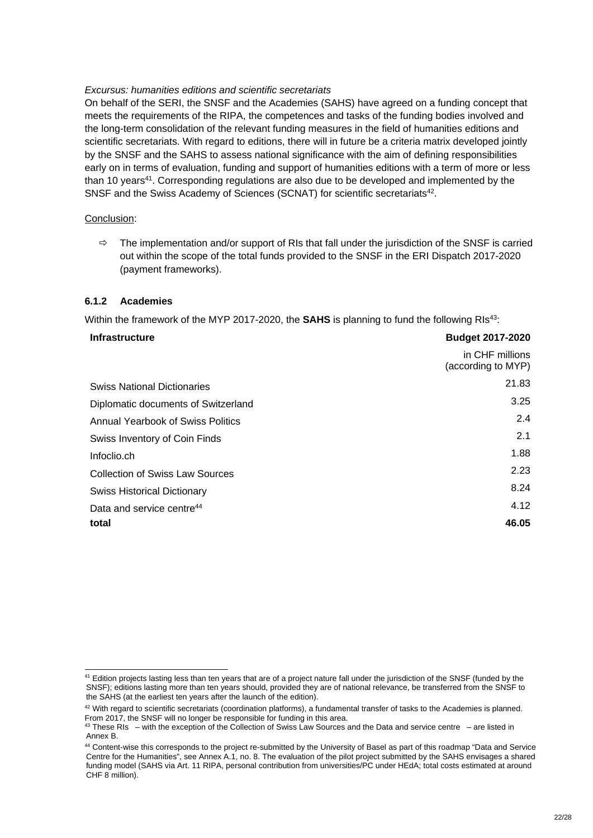#### *Excursus: humanities editions and scientific secretariats*

On behalf of the SERI, the SNSF and the Academies (SAHS) have agreed on a funding concept that meets the requirements of the RIPA, the competences and tasks of the funding bodies involved and the long-term consolidation of the relevant funding measures in the field of humanities editions and scientific secretariats. With regard to editions, there will in future be a criteria matrix developed jointly by the SNSF and the SAHS to assess national significance with the aim of defining responsibilities early on in terms of evaluation, funding and support of humanities editions with a term of more or less than 10 years<sup>41</sup>. Corresponding regulations are also due to be developed and implemented by the SNSF and the Swiss Academy of Sciences (SCNAT) for scientific secretariats<sup>42</sup>.

#### Conclusion:

 $\Rightarrow$  The implementation and/or support of RIs that fall under the jurisdiction of the SNSF is carried out within the scope of the total funds provided to the SNSF in the ERI Dispatch 2017-2020 (payment frameworks).

#### **6.1.2 Academies**

Within the framework of the MYP 2017-2020, the **SAHS** is planning to fund the following RIs<sup>43</sup>:

#### **Infrastructure Budget 2017-2020**

1

|                                        | PUUYVI LUTTEVLU                       |
|----------------------------------------|---------------------------------------|
|                                        | in CHF millions<br>(according to MYP) |
| <b>Swiss National Dictionaries</b>     | 21.83                                 |
| Diplomatic documents of Switzerland    | 3.25                                  |
| Annual Yearbook of Swiss Politics      | 2.4                                   |
| Swiss Inventory of Coin Finds          | 2.1                                   |
| Infoclio.ch                            | 1.88                                  |
| <b>Collection of Swiss Law Sources</b> | 2.23                                  |
| <b>Swiss Historical Dictionary</b>     | 8.24                                  |
| Data and service centre <sup>44</sup>  | 4.12                                  |
| total                                  | 46.05                                 |

<sup>&</sup>lt;sup>41</sup> Edition projects lasting less than ten years that are of a project nature fall under the jurisdiction of the SNSF (funded by the SNSF); editions lasting more than ten years should, provided they are of national relevance, be transferred from the SNSF to the SAHS (at the earliest ten years after the launch of the edition).

<sup>&</sup>lt;sup>42</sup> With regard to scientific secretariats (coordination platforms), a fundamental transfer of tasks to the Academies is planned. From 2017, the SNSF will no longer be responsible for funding in this area.

 $43$  These RIs – with the exception of the Collection of Swiss Law Sources and the Data and service centre – are listed in Annex B.

<sup>44</sup> Content-wise this corresponds to the project re-submitted by the University of Basel as part of this roadmap "Data and Service Centre for the Humanities", see Annex A.1, no. 8. The evaluation of the pilot project submitted by the SAHS envisages a shared funding model (SAHS via Art. 11 RIPA, personal contribution from universities/PC under HEdA; total costs estimated at around CHF 8 million).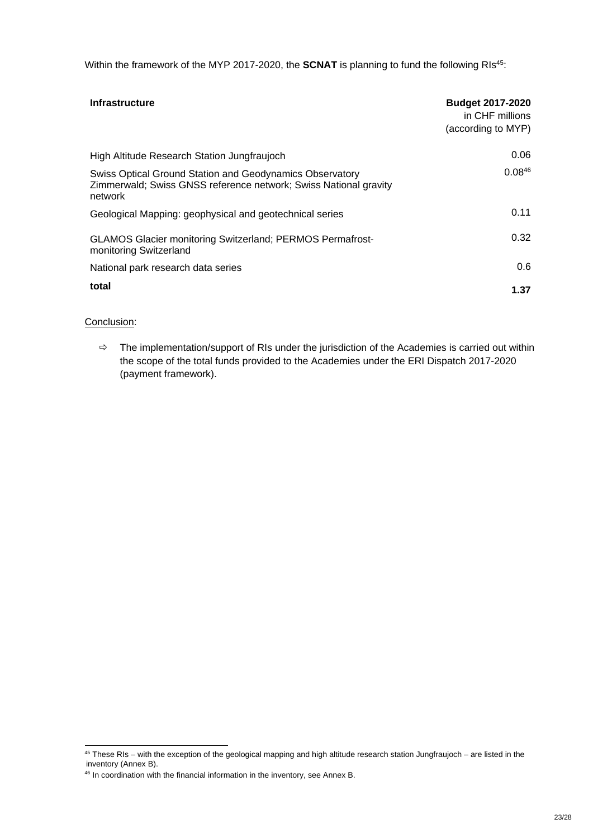Within the framework of the MYP 2017-2020, the **SCNAT** is planning to fund the following RIs<sup>45</sup>:

| <b>Infrastructure</b>                                                                                                                   | <b>Budget 2017-2020</b><br>in CHF millions<br>(according to MYP) |
|-----------------------------------------------------------------------------------------------------------------------------------------|------------------------------------------------------------------|
| High Altitude Research Station Jungfraujoch                                                                                             | 0.06                                                             |
| Swiss Optical Ground Station and Geodynamics Observatory<br>Zimmerwald; Swiss GNSS reference network; Swiss National gravity<br>network | $0.08^{46}$                                                      |
| Geological Mapping: geophysical and geotechnical series                                                                                 | 0.11                                                             |
| <b>GLAMOS Glacier monitoring Switzerland; PERMOS Permafrost-</b><br>monitoring Switzerland                                              | 0.32                                                             |
| National park research data series                                                                                                      | 0.6                                                              |
| total                                                                                                                                   | 1.37                                                             |

#### Conclusion:

1

 $\Rightarrow$  The implementation/support of RIs under the jurisdiction of the Academies is carried out within the scope of the total funds provided to the Academies under the ERI Dispatch 2017-2020 (payment framework).

 $45$  These RIs – with the exception of the geological mapping and high altitude research station Jungfraujoch – are listed in the inventory (Annex B).

<sup>&</sup>lt;sup>46</sup> In coordination with the financial information in the inventory, see Annex B.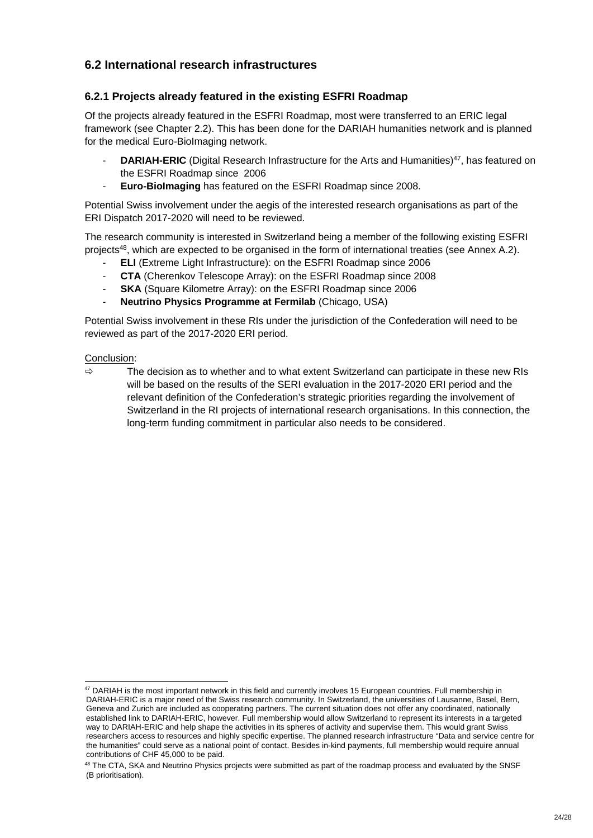## **6.2 International research infrastructures**

### **6.2.1 Projects already featured in the existing ESFRI Roadmap**

Of the projects already featured in the ESFRI Roadmap, most were transferred to an ERIC legal framework (see Chapter 2.2). This has been done for the DARIAH humanities network and is planned for the medical Euro-BioImaging network.

- **DARIAH-ERIC** (Digital Research Infrastructure for the Arts and Humanities)<sup>47</sup>, has featured on the ESFRI Roadmap since 2006
- **Euro-BioImaging** has featured on the ESFRI Roadmap since 2008.

Potential Swiss involvement under the aegis of the interested research organisations as part of the ERI Dispatch 2017-2020 will need to be reviewed.

The research community is interested in Switzerland being a member of the following existing ESFRI projects48, which are expected to be organised in the form of international treaties (see Annex A.2).

- **ELI** (Extreme Light Infrastructure): on the ESFRI Roadmap since 2006
- **CTA** (Cherenkov Telescope Array): on the ESFRI Roadmap since 2008
- **SKA** (Square Kilometre Array): on the ESFRI Roadmap since 2006
- **Neutrino Physics Programme at Fermilab (Chicago, USA)**

Potential Swiss involvement in these RIs under the jurisdiction of the Confederation will need to be reviewed as part of the 2017-2020 ERI period.

#### Conclusion:

1

 $\Rightarrow$  The decision as to whether and to what extent Switzerland can participate in these new RIs will be based on the results of the SERI evaluation in the 2017-2020 ERI period and the relevant definition of the Confederation's strategic priorities regarding the involvement of Switzerland in the RI projects of international research organisations. In this connection, the long-term funding commitment in particular also needs to be considered.

 $47$  DARIAH is the most important network in this field and currently involves 15 European countries. Full membership in DARIAH-ERIC is a major need of the Swiss research community. In Switzerland, the universities of Lausanne, Basel, Bern, Geneva and Zurich are included as cooperating partners. The current situation does not offer any coordinated, nationally established link to DARIAH-ERIC, however. Full membership would allow Switzerland to represent its interests in a targeted way to DARIAH-ERIC and help shape the activities in its spheres of activity and supervise them. This would grant Swiss researchers access to resources and highly specific expertise. The planned research infrastructure "Data and service centre for the humanities" could serve as a national point of contact. Besides in-kind payments, full membership would require annual contributions of CHF 45,000 to be paid.

<sup>&</sup>lt;sup>48</sup> The CTA, SKA and Neutrino Physics projects were submitted as part of the roadmap process and evaluated by the SNSF (B prioritisation).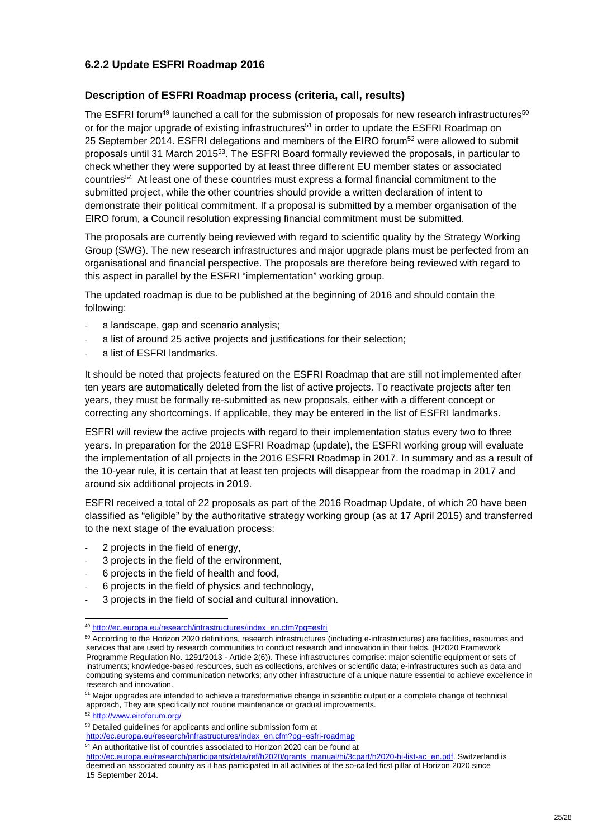### **6.2.2 Update ESFRI Roadmap 2016**

#### **Description of ESFRI Roadmap process (criteria, call, results)**

The ESFRI forum<sup>49</sup> launched a call for the submission of proposals for new research infrastructures<sup>50</sup> or for the major upgrade of existing infrastructures<sup>51</sup> in order to update the ESFRI Roadmap on 25 September 2014. ESFRI delegations and members of the EIRO forum<sup>52</sup> were allowed to submit proposals until 31 March 201553. The ESFRI Board formally reviewed the proposals, in particular to check whether they were supported by at least three different EU member states or associated countries<sup>54</sup> At least one of these countries must express a formal financial commitment to the submitted project, while the other countries should provide a written declaration of intent to demonstrate their political commitment. If a proposal is submitted by a member organisation of the EIRO forum, a Council resolution expressing financial commitment must be submitted.

The proposals are currently being reviewed with regard to scientific quality by the Strategy Working Group (SWG). The new research infrastructures and major upgrade plans must be perfected from an organisational and financial perspective. The proposals are therefore being reviewed with regard to this aspect in parallel by the ESFRI "implementation" working group.

The updated roadmap is due to be published at the beginning of 2016 and should contain the following:

- ‐ a landscape, gap and scenario analysis;
- a list of around 25 active projects and justifications for their selection;
- ‐ a list of ESFRI landmarks.

It should be noted that projects featured on the ESFRI Roadmap that are still not implemented after ten years are automatically deleted from the list of active projects. To reactivate projects after ten years, they must be formally re-submitted as new proposals, either with a different concept or correcting any shortcomings. If applicable, they may be entered in the list of ESFRI landmarks.

ESFRI will review the active projects with regard to their implementation status every two to three years. In preparation for the 2018 ESFRI Roadmap (update), the ESFRI working group will evaluate the implementation of all projects in the 2016 ESFRI Roadmap in 2017. In summary and as a result of the 10-year rule, it is certain that at least ten projects will disappear from the roadmap in 2017 and around six additional projects in 2019.

ESFRI received a total of 22 proposals as part of the 2016 Roadmap Update, of which 20 have been classified as "eligible" by the authoritative strategy working group (as at 17 April 2015) and transferred to the next stage of the evaluation process:

- ‐ 2 projects in the field of energy,
- ‐ 3 projects in the field of the environment,
- ‐ 6 projects in the field of health and food,
- ‐ 6 projects in the field of physics and technology,
- ‐ 3 projects in the field of social and cultural innovation.

1

http://ec.europa.eu/research/participants/data/ref/h2020/grants\_manual/hi/3cpart/h2020-hi-list-ac\_en.pdf. Switzerland is deemed an associated country as it has participated in all activities of the so-called first pillar of Horizon 2020 since 15 September 2014.

<sup>49</sup> http://ec.europa.eu/research/infrastructures/index\_en.cfm?pg=esfri

<sup>50</sup> According to the Horizon 2020 definitions, research infrastructures (including e-infrastructures) are facilities, resources and services that are used by research communities to conduct research and innovation in their fields. (H2020 Framework Programme Regulation No. 1291/2013 - Article 2(6)). These infrastructures comprise: major scientific equipment or sets of instruments; knowledge-based resources, such as collections, archives or scientific data; e-infrastructures such as data and computing systems and communication networks; any other infrastructure of a unique nature essential to achieve excellence in research and innovation.

<sup>51</sup> Major upgrades are intended to achieve a transformative change in scientific output or a complete change of technical approach. They are specifically not routine maintenance or gradual improvements.

<sup>52</sup> http://www.eiroforum.org/

<sup>53</sup> Detailed quidelines for applicants and online submission form at

http://ec.europa.eu/research/infrastructures/index\_en.cfm?pg=esfri-roadmap

<sup>&</sup>lt;sup>54</sup> An authoritative list of countries associated to Horizon 2020 can be found at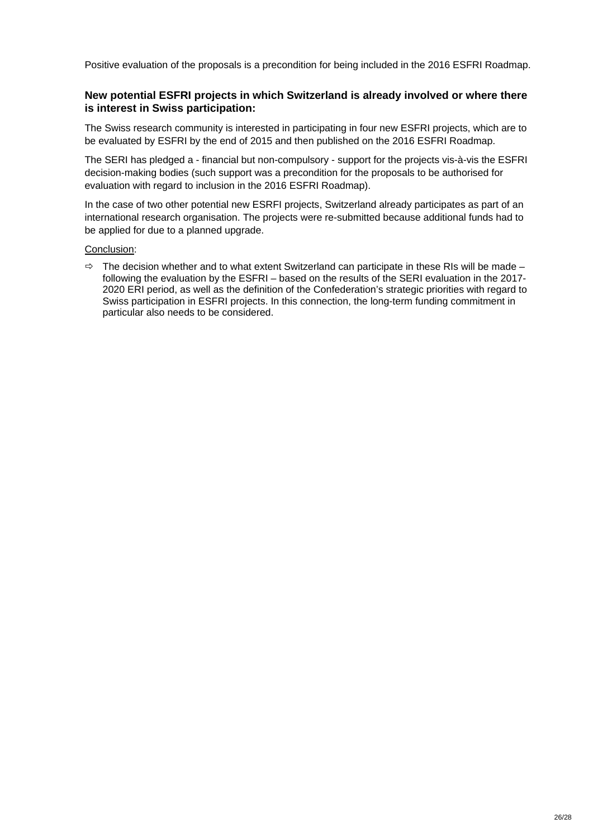Positive evaluation of the proposals is a precondition for being included in the 2016 ESFRI Roadmap.

#### **New potential ESFRI projects in which Switzerland is already involved or where there is interest in Swiss participation:**

The Swiss research community is interested in participating in four new ESFRI projects, which are to be evaluated by ESFRI by the end of 2015 and then published on the 2016 ESFRI Roadmap.

The SERI has pledged a - financial but non-compulsory - support for the projects vis-à-vis the ESFRI decision-making bodies (such support was a precondition for the proposals to be authorised for evaluation with regard to inclusion in the 2016 ESFRI Roadmap).

In the case of two other potential new ESRFI projects, Switzerland already participates as part of an international research organisation. The projects were re-submitted because additional funds had to be applied for due to a planned upgrade.

#### Conclusion:

 $\Rightarrow$  The decision whether and to what extent Switzerland can participate in these RIs will be made – following the evaluation by the ESFRI – based on the results of the SERI evaluation in the 2017- 2020 ERI period, as well as the definition of the Confederation's strategic priorities with regard to Swiss participation in ESFRI projects. In this connection, the long-term funding commitment in particular also needs to be considered.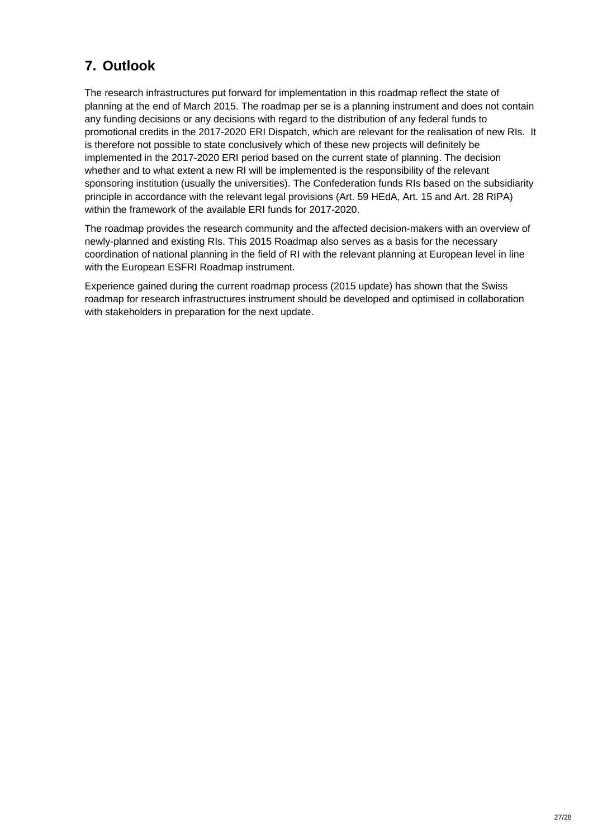## **7. Outlook**

The research infrastructures put forward for implementation in this roadmap reflect the state of planning at the end of March 2015. The roadmap per se is a planning instrument and does not contain any funding decisions or any decisions with regard to the distribution of any federal funds to promotional credits in the 2017-2020 ERI Dispatch, which are relevant for the realisation of new RIs. It is therefore not possible to state conclusively which of these new projects will definitely be implemented in the 2017-2020 ERI period based on the current state of planning. The decision whether and to what extent a new RI will be implemented is the responsibility of the relevant sponsoring institution (usually the universities). The Confederation funds RIs based on the subsidiarity principle in accordance with the relevant legal provisions (Art. 59 HEdA, Art. 15 and Art. 28 RIPA) within the framework of the available ERI funds for 2017-2020.

The roadmap provides the research community and the affected decision-makers with an overview of newly-planned and existing RIs. This 2015 Roadmap also serves as a basis for the necessary coordination of national planning in the field of RI with the relevant planning at European level in line with the European ESFRI Roadmap instrument.

Experience gained during the current roadmap process (2015 update) has shown that the Swiss roadmap for research infrastructures instrument should be developed and optimised in collaboration with stakeholders in preparation for the next update.